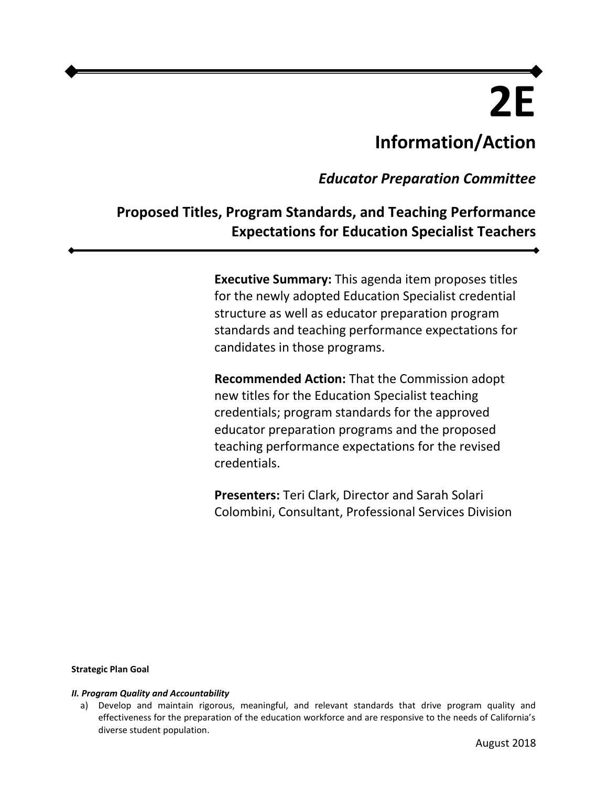# **2E Information/Action**

*Educator Preparation Committee* 

# **Proposed Titles, Program Standards, and Teaching Performance Expectations for Education Specialist Teachers**

**Executive Summary:** This agenda item proposes titles for the newly adopted Education Specialist credential structure as well as educator preparation program standards and teaching performance expectations for candidates in those programs.

**Recommended Action:** That the Commission adopt new titles for the Education Specialist teaching credentials; program standards for the approved educator preparation programs and the proposed teaching performance expectations for the revised credentials.

**Presenters:** Teri Clark, Director and Sarah Solari Colombini, Consultant, Professional Services Division

#### **Strategic Plan Goal**

#### *II. Program Quality and Accountability*

a) Develop and maintain rigorous, meaningful, and relevant standards that drive program quality and effectiveness for the preparation of the education workforce and are responsive to the needs of California's diverse student population.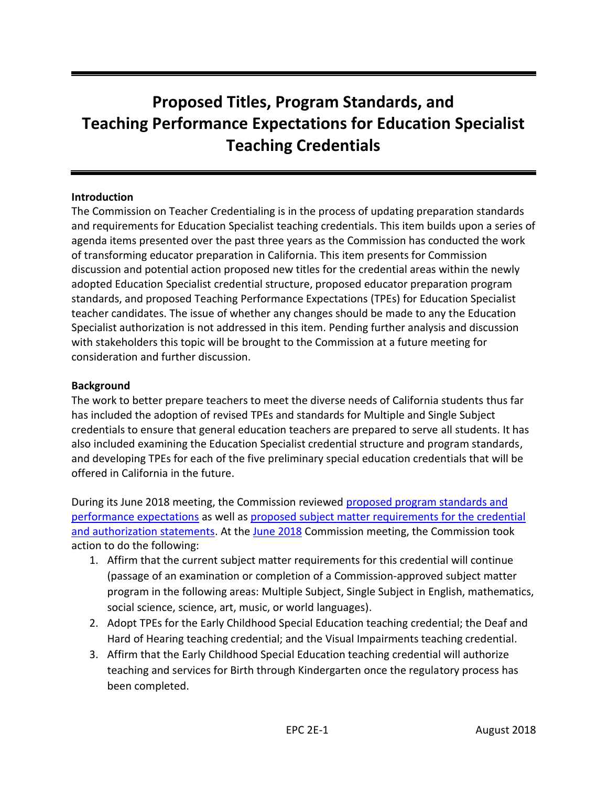# **Teaching Performance Expectations for Education Specialist Proposed Titles, Program Standards, and Teaching Credentials**

#### **Introduction**

The Commission on Teacher Credentialing is in the process of updating preparation standards and requirements for Education Specialist teaching credentials. This item builds upon a series of agenda items presented over the past three years as the Commission has conducted the work of transforming educator preparation in California. This item presents for Commission discussion and potential action proposed new titles for the credential areas within the newly adopted Education Specialist credential structure, proposed educator preparation program standards, and proposed Teaching Performance Expectations (TPEs) for Education Specialist teacher candidates. The issue of whether any changes should be made to any the Education Specialist authorization is not addressed in this item. Pending further analysis and discussion with stakeholders this topic will be brought to the Commission at a future meeting for consideration and further discussion.

#### **Background**

The work to better prepare teachers to meet the diverse needs of California students thus far has included the adoption of revised TPEs and standards for Multiple and Single Subject credentials to ensure that general education teachers are prepared to serve all students. It has also included examining the Education Specialist credential structure and program standards, and developing TPEs for each of the five preliminary special education credentials that will be offered in California in the future.

During its June 2018 meeting, the Commission reviewed [proposed program standards and](https://www.ctc.ca.gov/docs/default-source/commission/agendas/2018-06/2018-06-4g.pdf?sfvrsn=ce1a51b1_2)  [performance expectations](https://www.ctc.ca.gov/docs/default-source/commission/agendas/2018-06/2018-06-4g.pdf?sfvrsn=ce1a51b1_2) as well as [proposed subject matter requirements for the credential](https://www.ctc.ca.gov/docs/default-source/commission/agendas/2018-06/2018-06-4h.pdf?sfvrsn=d11a51b1_2)  [and authorization statements.](https://www.ctc.ca.gov/docs/default-source/commission/agendas/2018-06/2018-06-4h.pdf?sfvrsn=d11a51b1_2) At the [June 2018](https://www.ctc.ca.gov/docs/default-source/commission/agendas/2018-06/2018-06-4h.pdf?sfvrsn=d11a51b1_2) Commission meeting, the Commission took action to do the following:

- 1. Affirm that the current subject matter requirements for this credential will continue (passage of an examination or completion of a Commission-approved subject matter program in the following areas: Multiple Subject, Single Subject in English, mathematics, social science, science, art, music, or world languages).
- 2. Adopt TPEs for the Early Childhood Special Education teaching credential; the Deaf and Hard of Hearing teaching credential; and the Visual Impairments teaching credential.
- 3. Affirm that the Early Childhood Special Education teaching credential will authorize teaching and services for Birth through Kindergarten once the regulatory process has been completed.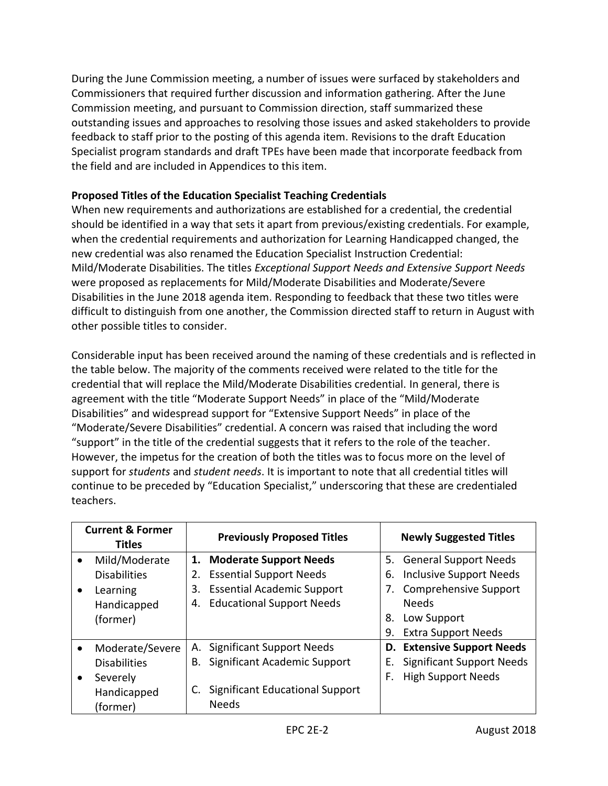During the June Commission meeting, a number of issues were surfaced by stakeholders and Commissioners that required further discussion and information gathering. After the June Commission meeting, and pursuant to Commission direction, staff summarized these outstanding issues and approaches to resolving those issues and asked stakeholders to provide feedback to staff prior to the posting of this agenda item. Revisions to the draft Education Specialist program standards and draft TPEs have been made that incorporate feedback from the field and are included in Appendices to this item.

### **Proposed Titles of the Education Specialist Teaching Credentials**

When new requirements and authorizations are established for a credential, the credential should be identified in a way that sets it apart from previous/existing credentials. For example, when the credential requirements and authorization for Learning Handicapped changed, the new credential was also renamed the Education Specialist Instruction Credential: Mild/Moderate Disabilities. The titles *Exceptional Support Needs and Extensive Support Needs*  were proposed as replacements for Mild/Moderate Disabilities and Moderate/Severe Disabilities in the June 2018 agenda item. Responding to feedback that these two titles were difficult to distinguish from one another, the Commission directed staff to return in August with other possible titles to consider.

Considerable input has been received around the naming of these credentials and is reflected in the table below. The majority of the comments received were related to the title for the credential that will replace the Mild/Moderate Disabilities credential. In general, there is agreement with the title "Moderate Support Needs" in place of the "Mild/Moderate Disabilities" and widespread support for "Extensive Support Needs" in place of the "Moderate/Severe Disabilities" credential. A concern was raised that including the word "support" in the title of the credential suggests that it refers to the role of the teacher. However, the impetus for the creation of both the titles was to focus more on the level of support for *students* and *student needs*. It is important to note that all credential titles will continue to be preceded by "Education Specialist," underscoring that these are credentialed teachers.

| <b>Current &amp; Former</b><br><b>Titles</b> | <b>Previously Proposed Titles</b>       | <b>Newly Suggested Titles</b>          |
|----------------------------------------------|-----------------------------------------|----------------------------------------|
| Mild/Moderate<br>$\bullet$                   | <b>Moderate Support Needs</b><br>1.     | 5. General Support Needs               |
| <b>Disabilities</b>                          | <b>Essential Support Needs</b>          | <b>Inclusive Support Needs</b><br>6.   |
| Learning<br>$\bullet$                        | <b>Essential Academic Support</b><br>3. | <b>Comprehensive Support</b><br>7.     |
| Handicapped                                  | <b>Educational Support Needs</b><br>4.  | <b>Needs</b>                           |
| (former)                                     |                                         | Low Support<br>8.                      |
|                                              |                                         | <b>Extra Support Needs</b><br>9.       |
| Moderate/Severe<br>$\bullet$                 | <b>Significant Support Needs</b><br>А.  | <b>D. Extensive Support Needs</b>      |
| <b>Disabilities</b>                          | Significant Academic Support<br>В.      | <b>Significant Support Needs</b><br>Е. |
| Severely<br>$\bullet$                        |                                         | <b>High Support Needs</b><br>F.        |
| Handicapped                                  | <b>Significant Educational Support</b>  |                                        |
| (former)                                     | <b>Needs</b>                            |                                        |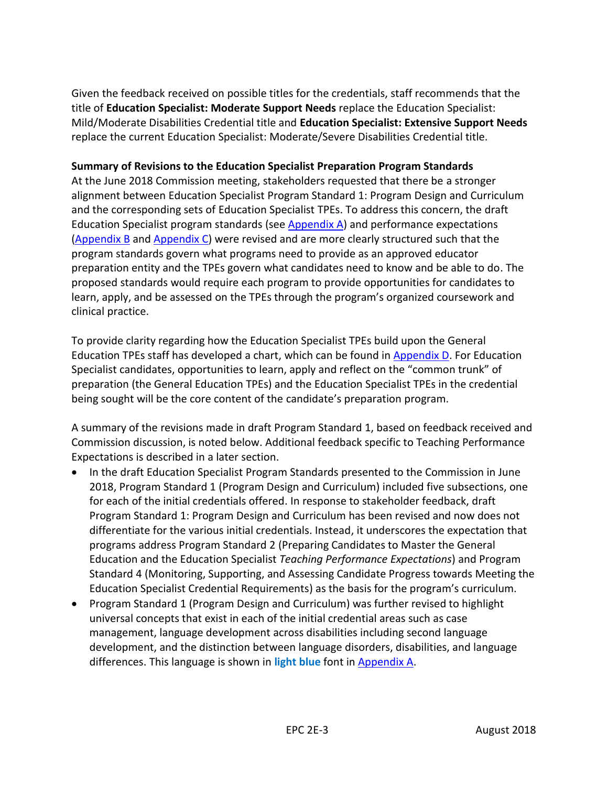Given the feedback received on possible titles for the credentials, staff recommends that the title of **Education Specialist: Moderate Support Needs** replace the Education Specialist: Mild/Moderate Disabilities Credential title and **Education Specialist: Extensive Support Needs** replace the current Education Specialist: Moderate/Severe Disabilities Credential title.

#### **Summary of Revisions to the Education Specialist Preparation Program Standards**

At the June 2018 Commission meeting, stakeholders requested that there be a stronger alignment between Education Specialist Program Standard 1: Program Design and Curriculum and the corresponding sets of Education Specialist TPEs. To address this concern, the draft Education Specialist program standards (see [Appendix A\)](#page-7-0) and performance expectations [\(Appendix B](#page-15-0) an[d Appendix C\)](#page-20-0) were revised and are more clearly structured such that the program standards govern what programs need to provide as an approved educator preparation entity and the TPEs govern what candidates need to know and be able to do. The proposed standards would require each program to provide opportunities for candidates to learn, apply, and be assessed on the TPEs through the program's organized coursework and clinical practice.

To provide clarity regarding how the Education Specialist TPEs build upon the General Education TPEs staff has developed a chart, which can be found in [Appendix D.](#page-26-0) For Education Specialist candidates, opportunities to learn, apply and reflect on the "common trunk" of preparation (the General Education TPEs) and the Education Specialist TPEs in the credential being sought will be the core content of the candidate's preparation program.

A summary of the revisions made in draft Program Standard 1, based on feedback received and Commission discussion, is noted below. Additional feedback specific to Teaching Performance Expectations is described in a later section.

- In the draft Education Specialist Program Standards presented to the Commission in June 2018, Program Standard 1 (Program Design and Curriculum) included five subsections, one for each of the initial credentials offered. In response to stakeholder feedback, draft Program Standard 1: Program Design and Curriculum has been revised and now does not differentiate for the various initial credentials. Instead, it underscores the expectation that programs address Program Standard 2 (Preparing Candidates to Master the General Education and the Education Specialist *Teaching Performance Expectations*) and Program Standard 4 (Monitoring, Supporting, and Assessing Candidate Progress towards Meeting the Education Specialist Credential Requirements) as the basis for the program's curriculum.
- Program Standard 1 (Program Design and Curriculum) was further revised to highlight universal concepts that exist in each of the initial credential areas such as case management, language development across disabilities including second language development, and the distinction between language disorders, disabilities, and language differences. This language is shown in **light blue** font in [Appendix A.](#page-7-0)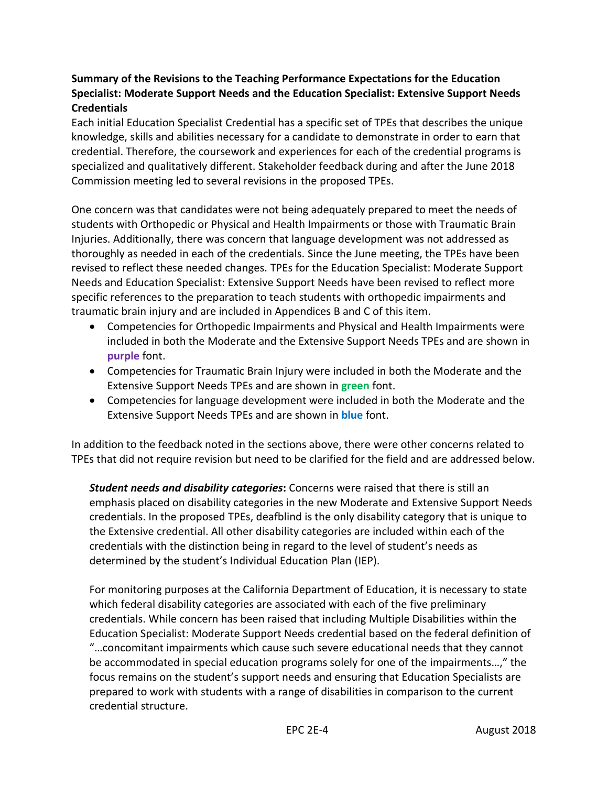#### **Summary of the Revisions to the Teaching Performance Expectations for the Education Specialist: Moderate Support Needs and the Education Specialist: Extensive Support Needs Credentials**

Each initial Education Specialist Credential has a specific set of TPEs that describes the unique knowledge, skills and abilities necessary for a candidate to demonstrate in order to earn that credential. Therefore, the coursework and experiences for each of the credential programs is specialized and qualitatively different. Stakeholder feedback during and after the June 2018 Commission meeting led to several revisions in the proposed TPEs.

One concern was that candidates were not being adequately prepared to meet the needs of students with Orthopedic or Physical and Health Impairments or those with Traumatic Brain Injuries. Additionally, there was concern that language development was not addressed as thoroughly as needed in each of the credentials. Since the June meeting, the TPEs have been revised to reflect these needed changes. TPEs for the Education Specialist: Moderate Support Needs and Education Specialist: Extensive Support Needs have been revised to reflect more specific references to the preparation to teach students with orthopedic impairments and traumatic brain injury and are included in Appendices B and C of this item.

- Competencies for Orthopedic Impairments and Physical and Health Impairments were included in both the Moderate and the Extensive Support Needs TPEs and are shown in **purple** font.
- Competencies for Traumatic Brain Injury were included in both the Moderate and the Extensive Support Needs TPEs and are shown in **green** font.
- Competencies for language development were included in both the Moderate and the Extensive Support Needs TPEs and are shown in **blue** font.

In addition to the feedback noted in the sections above, there were other concerns related to TPEs that did not require revision but need to be clarified for the field and are addressed below.

*Student needs and disability categories***:** Concerns were raised that there is still an emphasis placed on disability categories in the new Moderate and Extensive Support Needs credentials. In the proposed TPEs, deafblind is the only disability category that is unique to the Extensive credential. All other disability categories are included within each of the credentials with the distinction being in regard to the level of student's needs as determined by the student's Individual Education Plan (IEP).

For monitoring purposes at the California Department of Education, it is necessary to state which federal disability categories are associated with each of the five preliminary credentials. While concern has been raised that including Multiple Disabilities within the Education Specialist: Moderate Support Needs credential based on the federal definition of "…concomitant impairments which cause such severe educational needs that they cannot be accommodated in special education programs solely for one of the impairments…," the focus remains on the student's support needs and ensuring that Education Specialists are prepared to work with students with a range of disabilities in comparison to the current credential structure.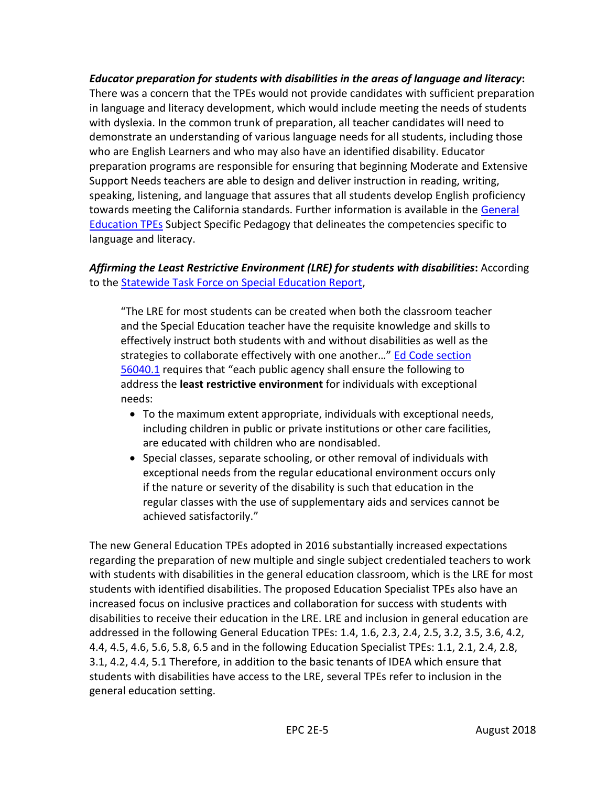*Educator preparation for students with disabilities in the areas of language and literacy***:** There was a concern that the TPEs would not provide candidates with sufficient preparation in language and literacy development, which would include meeting the needs of students with dyslexia. In the common trunk of preparation, all teacher candidates will need to demonstrate an understanding of various language needs for all students, including those who are English Learners and who may also have an identified disability. Educator preparation programs are responsible for ensuring that beginning Moderate and Extensive Support Needs teachers are able to design and deliver instruction in reading, writing, speaking, listening, and language that assures that all students develop English proficiency towards meeting the California standards. Further information is available in the General [Education TPEs](https://www.ctc.ca.gov/docs/default-source/educator-prep/standards/prelimmsstandard-pdf.pdf?sfvrsn=a35b06c_2) Subject Specific Pedagogy that delineates the competencies specific to language and literacy.

# *Affirming the Least Restrictive Environment (LRE) for students with disabilities***:** According to the [Statewide Task Force on Special Education Report,](http://www.smcoe.org/assets/files/about-smcoe/superintendents-office/statewide-special-education-task-force/Task%20Force%20Report%205.18.15.pdf)

"The LRE for most students can be created when both the classroom teacher and the Special Education teacher have the requisite knowledge and skills to effectively instruct both students with and without disabilities as well as the strategies to collaborate effectively with one another…" [Ed Code section](https://leginfo.legislature.ca.gov/faces/codes_displaySection.xhtml?lawCode=EDC§ionNum=56040.1.&article=3.&highlight=true&keyword=least%20restrictive)  [56040.1](https://leginfo.legislature.ca.gov/faces/codes_displaySection.xhtml?lawCode=EDC§ionNum=56040.1.&article=3.&highlight=true&keyword=least%20restrictive) requires that "each public agency shall ensure the following to address the **least restrictive environment** for individuals with exceptional needs:

- To the maximum extent appropriate, individuals with exceptional needs, including children in public or private institutions or other care facilities, are educated with children who are nondisabled.
- Special classes, separate schooling, or other removal of individuals with exceptional needs from the regular educational environment occurs only if the nature or severity of the disability is such that education in the regular classes with the use of supplementary aids and services cannot be achieved satisfactorily."

The new General Education TPEs adopted in 2016 substantially increased expectations regarding the preparation of new multiple and single subject credentialed teachers to work with students with disabilities in the general education classroom, which is the LRE for most students with identified disabilities. The proposed Education Specialist TPEs also have an increased focus on inclusive practices and collaboration for success with students with disabilities to receive their education in the LRE. LRE and inclusion in general education are addressed in the following General Education TPEs: 1.4, 1.6, 2.3, 2.4, 2.5, 3.2, 3.5, 3.6, 4.2, 4.4, 4.5, 4.6, 5.6, 5.8, 6.5 and in the following Education Specialist TPEs: 1.1, 2.1, 2.4, 2.8, 3.1, 4.2, 4.4, 5.1 Therefore, in addition to the basic tenants of IDEA which ensure that students with disabilities have access to the LRE, several TPEs refer to inclusion in the general education setting.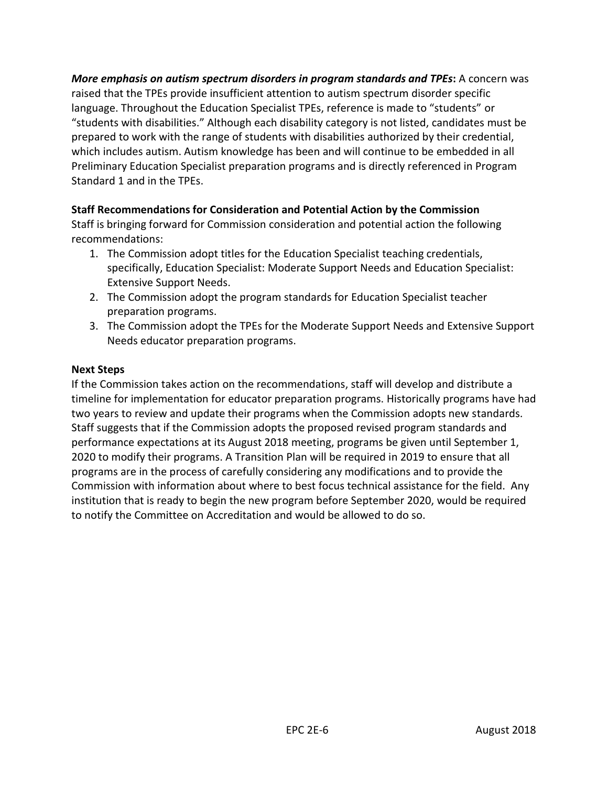*More emphasis on autism spectrum disorders in program standards and TPEs***:** A concern was raised that the TPEs provide insufficient attention to autism spectrum disorder specific language. Throughout the Education Specialist TPEs, reference is made to "students" or "students with disabilities." Although each disability category is not listed, candidates must be prepared to work with the range of students with disabilities authorized by their credential, which includes autism. Autism knowledge has been and will continue to be embedded in all Preliminary Education Specialist preparation programs and is directly referenced in Program Standard 1 and in the TPEs.

#### **Staff Recommendations for Consideration and Potential Action by the Commission**

Staff is bringing forward for Commission consideration and potential action the following recommendations:

- 1. The Commission adopt titles for the Education Specialist teaching credentials, specifically, Education Specialist: Moderate Support Needs and Education Specialist: Extensive Support Needs.
- 2. The Commission adopt the program standards for Education Specialist teacher preparation programs.
- 3. The Commission adopt the TPEs for the Moderate Support Needs and Extensive Support Needs educator preparation programs.

#### **Next Steps**

If the Commission takes action on the recommendations, staff will develop and distribute a timeline for implementation for educator preparation programs. Historically programs have had two years to review and update their programs when the Commission adopts new standards. Staff suggests that if the Commission adopts the proposed revised program standards and performance expectations at its August 2018 meeting, programs be given until September 1, 2020 to modify their programs. A Transition Plan will be required in 2019 to ensure that all programs are in the process of carefully considering any modifications and to provide the Commission with information about where to best focus technical assistance for the field. Any institution that is ready to begin the new program before September 2020, would be required to notify the Committee on Accreditation and would be allowed to do so.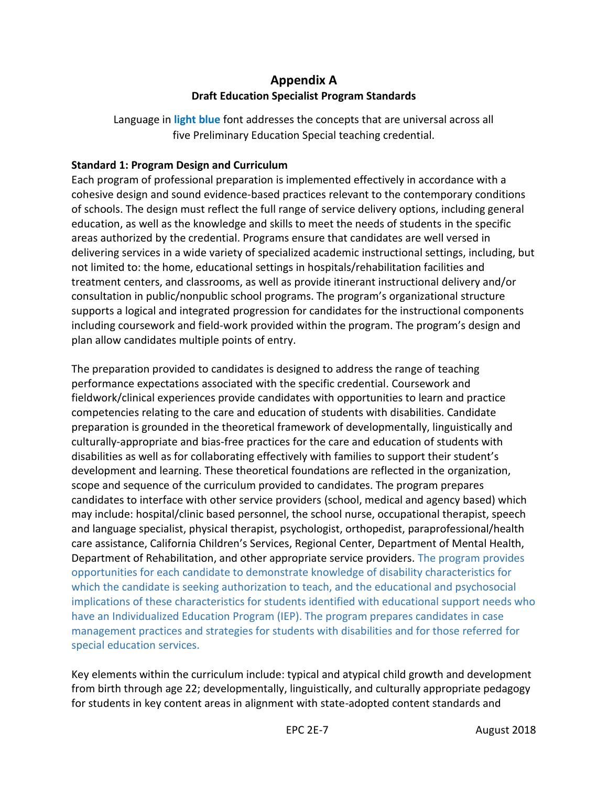# **Appendix A Draft Education Specialist Program Standards**

<span id="page-7-0"></span>Language in **light blue** font addresses the concepts that are universal across all five Preliminary Education Special teaching credential.

#### **Standard 1: Program Design and Curriculum**

Each program of professional preparation is implemented effectively in accordance with a cohesive design and sound evidence-based practices relevant to the contemporary conditions of schools. The design must reflect the full range of service delivery options, including general education, as well as the knowledge and skills to meet the needs of students in the specific areas authorized by the credential. Programs ensure that candidates are well versed in delivering services in a wide variety of specialized academic instructional settings, including, but not limited to: the home, educational settings in hospitals/rehabilitation facilities and treatment centers, and classrooms, as well as provide itinerant instructional delivery and/or consultation in public/nonpublic school programs. The program's organizational structure supports a logical and integrated progression for candidates for the instructional components including coursework and field-work provided within the program. The program's design and plan allow candidates multiple points of entry.

The preparation provided to candidates is designed to address the range of teaching performance expectations associated with the specific credential. Coursework and fieldwork/clinical experiences provide candidates with opportunities to learn and practice competencies relating to the care and education of students with disabilities. Candidate preparation is grounded in the theoretical framework of developmentally, linguistically and culturally-appropriate and bias-free practices for the care and education of students with disabilities as well as for collaborating effectively with families to support their student's development and learning. These theoretical foundations are reflected in the organization, scope and sequence of the curriculum provided to candidates. The program prepares candidates to interface with other service providers (school, medical and agency based) which may include: hospital/clinic based personnel, the school nurse, occupational therapist, speech and language specialist, physical therapist, psychologist, orthopedist, paraprofessional/health care assistance, California Children's Services, Regional Center, Department of Mental Health, Department of Rehabilitation, and other appropriate service providers. The program provides opportunities for each candidate to demonstrate knowledge of disability characteristics for which the candidate is seeking authorization to teach, and the educational and psychosocial implications of these characteristics for students identified with educational support needs who have an Individualized Education Program (IEP). The program prepares candidates in case management practices and strategies for students with disabilities and for those referred for special education services.

Key elements within the curriculum include: typical and atypical child growth and development from birth through age 22; developmentally, linguistically, and culturally appropriate pedagogy for students in key content areas in alignment with state-adopted content standards and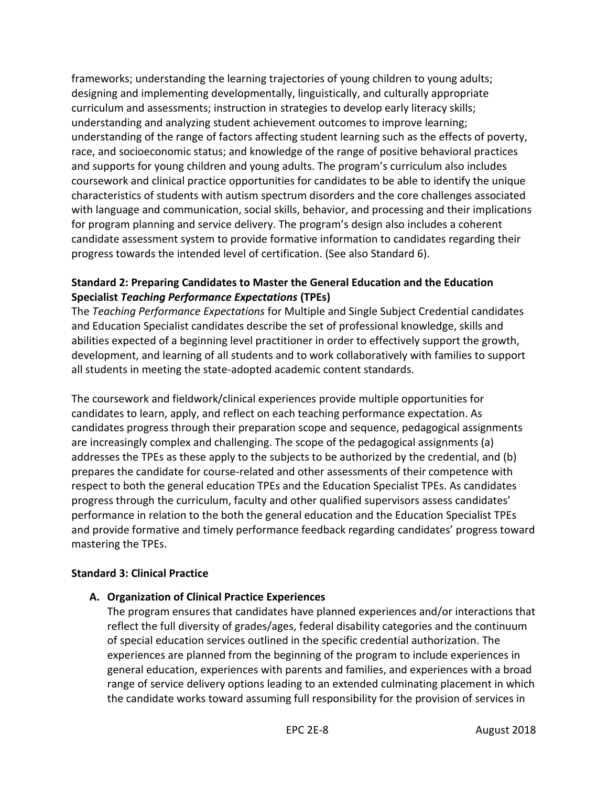frameworks; understanding the learning trajectories of young children to young adults; designing and implementing developmentally, linguistically, and culturally appropriate curriculum and assessments; instruction in strategies to develop early literacy skills; understanding and analyzing student achievement outcomes to improve learning; understanding of the range of factors affecting student learning such as the effects of poverty, race, and socioeconomic status; and knowledge of the range of positive behavioral practices and supports for young children and young adults. The program's curriculum also includes coursework and clinical practice opportunities for candidates to be able to identify the unique characteristics of students with autism spectrum disorders and the core challenges associated with language and communication, social skills, behavior, and processing and their implications for program planning and service delivery. The program's design also includes a coherent candidate assessment system to provide formative information to candidates regarding their progress towards the intended level of certification. (See also Standard 6).

#### **Standard 2: Preparing Candidates to Master the General Education and the Education Specialist** *Teaching Performance Expectations* **(TPEs)**

The *Teaching Performance Expectations* for Multiple and Single Subject Credential candidates and Education Specialist candidates describe the set of professional knowledge, skills and abilities expected of a beginning level practitioner in order to effectively support the growth, development, and learning of all students and to work collaboratively with families to support all students in meeting the state-adopted academic content standards.

The coursework and fieldwork/clinical experiences provide multiple opportunities for candidates to learn, apply, and reflect on each teaching performance expectation. As candidates progress through their preparation scope and sequence, pedagogical assignments are increasingly complex and challenging. The scope of the pedagogical assignments (a) addresses the TPEs as these apply to the subjects to be authorized by the credential, and (b) prepares the candidate for course-related and other assessments of their competence with respect to both the general education TPEs and the Education Specialist TPEs. As candidates progress through the curriculum, faculty and other qualified supervisors assess candidates' performance in relation to the both the general education and the Education Specialist TPEs and provide formative and timely performance feedback regarding candidates' progress toward mastering the TPEs.

#### **Standard 3: Clinical Practice**

#### **A. Organization of Clinical Practice Experiences**

The program ensures that candidates have planned experiences and/or interactions that reflect the full diversity of grades/ages, federal disability categories and the continuum of special education services outlined in the specific credential authorization. The experiences are planned from the beginning of the program to include experiences in general education, experiences with parents and families, and experiences with a broad range of service delivery options leading to an extended culminating placement in which the candidate works toward assuming full responsibility for the provision of services in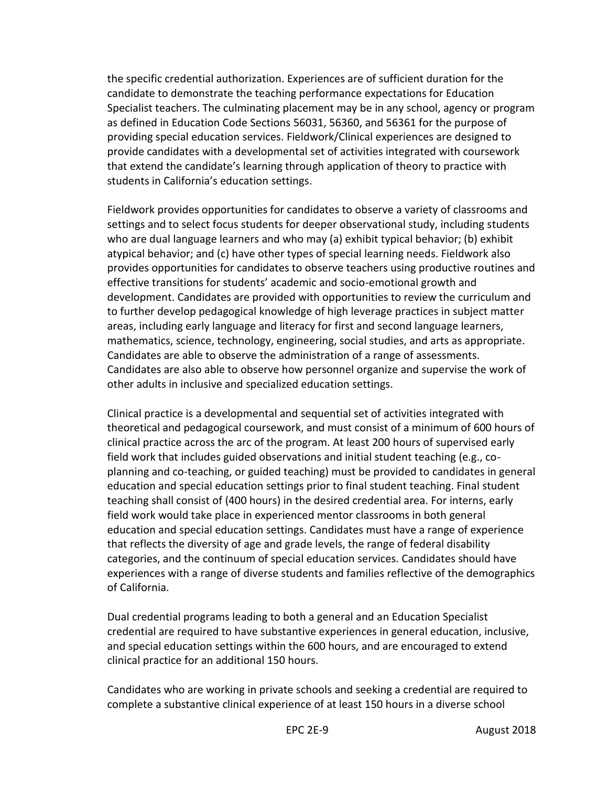the specific credential authorization. Experiences are of sufficient duration for the candidate to demonstrate the teaching performance expectations for Education Specialist teachers. The culminating placement may be in any school, agency or program as defined in Education Code Sections 56031, 56360, and 56361 for the purpose of providing special education services. Fieldwork/Clinical experiences are designed to provide candidates with a developmental set of activities integrated with coursework that extend the candidate's learning through application of theory to practice with students in California's education settings.

Fieldwork provides opportunities for candidates to observe a variety of classrooms and settings and to select focus students for deeper observational study, including students who are dual language learners and who may (a) exhibit typical behavior; (b) exhibit atypical behavior; and (c) have other types of special learning needs. Fieldwork also provides opportunities for candidates to observe teachers using productive routines and effective transitions for students' academic and socio-emotional growth and development. Candidates are provided with opportunities to review the curriculum and to further develop pedagogical knowledge of high leverage practices in subject matter areas, including early language and literacy for first and second language learners, mathematics, science, technology, engineering, social studies, and arts as appropriate. Candidates are able to observe the administration of a range of assessments. Candidates are also able to observe how personnel organize and supervise the work of other adults in inclusive and specialized education settings.

Clinical practice is a developmental and sequential set of activities integrated with theoretical and pedagogical coursework, and must consist of a minimum of 600 hours of clinical practice across the arc of the program. At least 200 hours of supervised early field work that includes guided observations and initial student teaching (e.g., coplanning and co-teaching, or guided teaching) must be provided to candidates in general education and special education settings prior to final student teaching. Final student teaching shall consist of (400 hours) in the desired credential area. For interns, early field work would take place in experienced mentor classrooms in both general education and special education settings. Candidates must have a range of experience that reflects the diversity of age and grade levels, the range of federal disability categories, and the continuum of special education services. Candidates should have experiences with a range of diverse students and families reflective of the demographics of California.

Dual credential programs leading to both a general and an Education Specialist credential are required to have substantive experiences in general education, inclusive, and special education settings within the 600 hours, and are encouraged to extend clinical practice for an additional 150 hours.

Candidates who are working in private schools and seeking a credential are required to complete a substantive clinical experience of at least 150 hours in a diverse school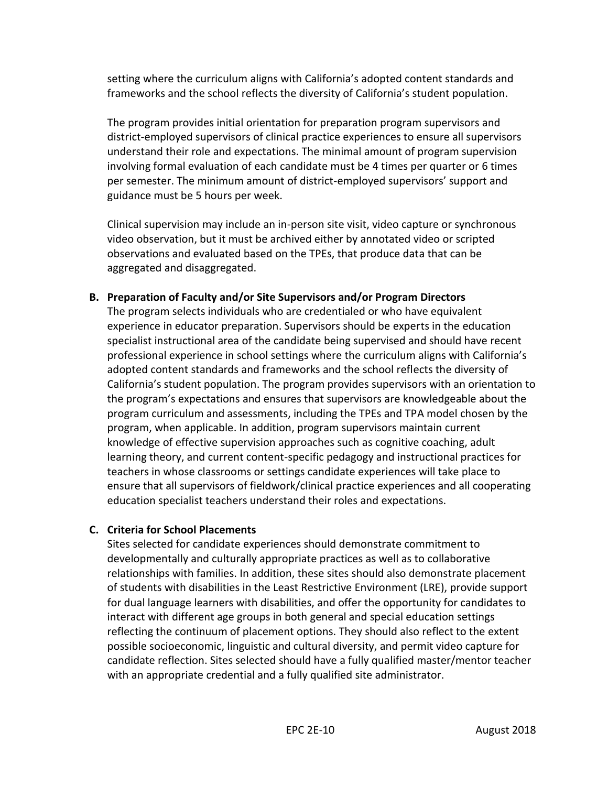setting where the curriculum aligns with California's adopted content standards and frameworks and the school reflects the diversity of California's student population.

The program provides initial orientation for preparation program supervisors and district-employed supervisors of clinical practice experiences to ensure all supervisors understand their role and expectations. The minimal amount of program supervision involving formal evaluation of each candidate must be 4 times per quarter or 6 times per semester. The minimum amount of district-employed supervisors' support and guidance must be 5 hours per week.

Clinical supervision may include an in-person site visit, video capture or synchronous video observation, but it must be archived either by annotated video or scripted observations and evaluated based on the TPEs, that produce data that can be aggregated and disaggregated.

#### **B. Preparation of Faculty and/or Site Supervisors and/or Program Directors**

The program selects individuals who are credentialed or who have equivalent experience in educator preparation. Supervisors should be experts in the education specialist instructional area of the candidate being supervised and should have recent professional experience in school settings where the curriculum aligns with California's adopted content standards and frameworks and the school reflects the diversity of California's student population. The program provides supervisors with an orientation to the program's expectations and ensures that supervisors are knowledgeable about the program curriculum and assessments, including the TPEs and TPA model chosen by the program, when applicable. In addition, program supervisors maintain current knowledge of effective supervision approaches such as cognitive coaching, adult learning theory, and current content-specific pedagogy and instructional practices for teachers in whose classrooms or settings candidate experiences will take place to ensure that all supervisors of fieldwork/clinical practice experiences and all cooperating education specialist teachers understand their roles and expectations.

#### **C. Criteria for School Placements**

Sites selected for candidate experiences should demonstrate commitment to developmentally and culturally appropriate practices as well as to collaborative relationships with families. In addition, these sites should also demonstrate placement of students with disabilities in the Least Restrictive Environment (LRE), provide support for dual language learners with disabilities, and offer the opportunity for candidates to interact with different age groups in both general and special education settings reflecting the continuum of placement options. They should also reflect to the extent possible socioeconomic, linguistic and cultural diversity, and permit video capture for candidate reflection. Sites selected should have a fully qualified master/mentor teacher with an appropriate credential and a fully qualified site administrator.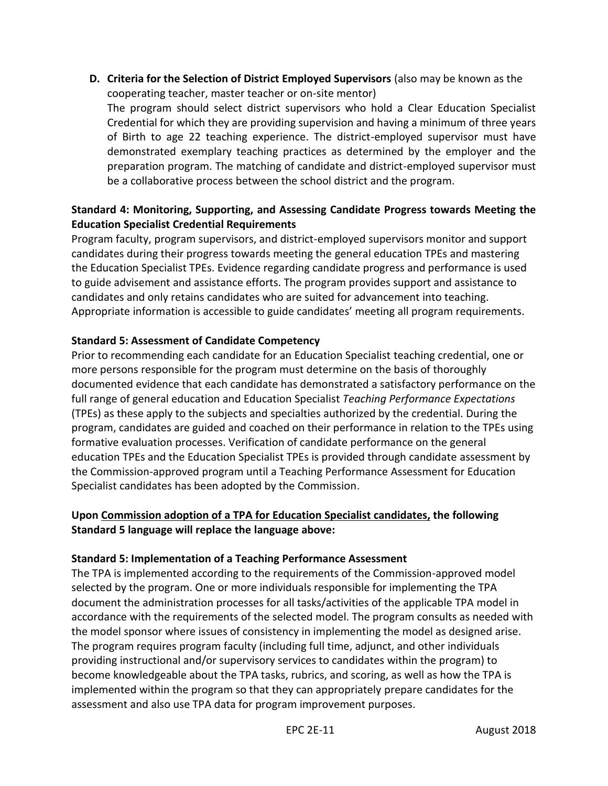**D. Criteria for the Selection of District Employed Supervisors** (also may be known as the cooperating teacher, master teacher or on-site mentor)

The program should select district supervisors who hold a Clear Education Specialist Credential for which they are providing supervision and having a minimum of three years of Birth to age 22 teaching experience. The district-employed supervisor must have demonstrated exemplary teaching practices as determined by the employer and the preparation program. The matching of candidate and district-employed supervisor must be a collaborative process between the school district and the program.

### **Standard 4: Monitoring, Supporting, and Assessing Candidate Progress towards Meeting the Education Specialist Credential Requirements**

Program faculty, program supervisors, and district-employed supervisors monitor and support candidates during their progress towards meeting the general education TPEs and mastering the Education Specialist TPEs. Evidence regarding candidate progress and performance is used to guide advisement and assistance efforts. The program provides support and assistance to candidates and only retains candidates who are suited for advancement into teaching. Appropriate information is accessible to guide candidates' meeting all program requirements.

#### **Standard 5: Assessment of Candidate Competency**

Prior to recommending each candidate for an Education Specialist teaching credential, one or more persons responsible for the program must determine on the basis of thoroughly documented evidence that each candidate has demonstrated a satisfactory performance on the full range of general education and Education Specialist *Teaching Performance Expectations* (TPEs) as these apply to the subjects and specialties authorized by the credential. During the program, candidates are guided and coached on their performance in relation to the TPEs using formative evaluation processes. Verification of candidate performance on the general education TPEs and the Education Specialist TPEs is provided through candidate assessment by the Commission-approved program until a Teaching Performance Assessment for Education Specialist candidates has been adopted by the Commission.

#### **Upon Commission adoption of a TPA for Education Specialist candidates, the following Standard 5 language will replace the language above:**

#### **Standard 5: Implementation of a Teaching Performance Assessment**

The TPA is implemented according to the requirements of the Commission-approved model selected by the program. One or more individuals responsible for implementing the TPA document the administration processes for all tasks/activities of the applicable TPA model in accordance with the requirements of the selected model. The program consults as needed with the model sponsor where issues of consistency in implementing the model as designed arise. The program requires program faculty (including full time, adjunct, and other individuals providing instructional and/or supervisory services to candidates within the program) to become knowledgeable about the TPA tasks, rubrics, and scoring, as well as how the TPA is implemented within the program so that they can appropriately prepare candidates for the assessment and also use TPA data for program improvement purposes.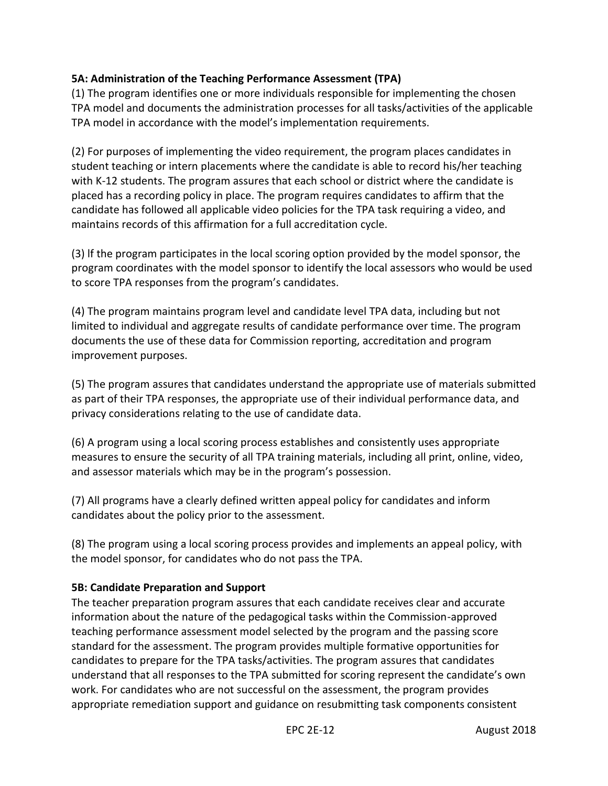#### **5A: Administration of the Teaching Performance Assessment (TPA)**

(1) The program identifies one or more individuals responsible for implementing the chosen TPA model and documents the administration processes for all tasks/activities of the applicable TPA model in accordance with the model's implementation requirements.

(2) For purposes of implementing the video requirement, the program places candidates in student teaching or intern placements where the candidate is able to record his/her teaching with K-12 students. The program assures that each school or district where the candidate is placed has a recording policy in place. The program requires candidates to affirm that the candidate has followed all applicable video policies for the TPA task requiring a video, and maintains records of this affirmation for a full accreditation cycle.

(3) lf the program participates in the local scoring option provided by the model sponsor, the program coordinates with the model sponsor to identify the local assessors who would be used to score TPA responses from the program's candidates.

(4) The program maintains program level and candidate level TPA data, including but not limited to individual and aggregate results of candidate performance over time. The program documents the use of these data for Commission reporting, accreditation and program improvement purposes.

(5) The program assures that candidates understand the appropriate use of materials submitted as part of their TPA responses, the appropriate use of their individual performance data, and privacy considerations relating to the use of candidate data.

(6) A program using a local scoring process establishes and consistently uses appropriate measures to ensure the security of all TPA training materials, including all print, online, video, and assessor materials which may be in the program's possession.

(7) All programs have a clearly defined written appeal policy for candidates and inform candidates about the policy prior to the assessment.

(8) The program using a local scoring process provides and implements an appeal policy, with the model sponsor, for candidates who do not pass the TPA.

#### **5B: Candidate Preparation and Support**

The teacher preparation program assures that each candidate receives clear and accurate information about the nature of the pedagogical tasks within the Commission-approved teaching performance assessment model selected by the program and the passing score standard for the assessment. The program provides multiple formative opportunities for candidates to prepare for the TPA tasks/activities. The program assures that candidates understand that all responses to the TPA submitted for scoring represent the candidate's own work. For candidates who are not successful on the assessment, the program provides appropriate remediation support and guidance on resubmitting task components consistent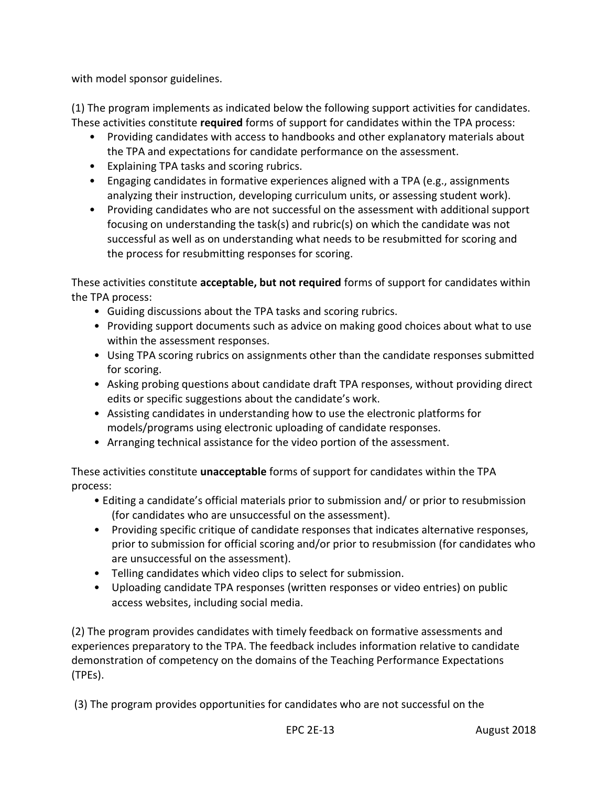with model sponsor guidelines.

(1) The program implements as indicated below the following support activities for candidates. These activities constitute **required** forms of support for candidates within the TPA process:

- Providing candidates with access to handbooks and other explanatory materials about the TPA and expectations for candidate performance on the assessment.
- Explaining TPA tasks and scoring rubrics.
- Engaging candidates in formative experiences aligned with a TPA (e.g., assignments analyzing their instruction, developing curriculum units, or assessing student work).
- Providing candidates who are not successful on the assessment with additional support focusing on understanding the task(s) and rubric(s) on which the candidate was not successful as well as on understanding what needs to be resubmitted for scoring and the process for resubmitting responses for scoring.

These activities constitute **acceptable, but not required** forms of support for candidates within the TPA process:

- Guiding discussions about the TPA tasks and scoring rubrics.
- Providing support documents such as advice on making good choices about what to use within the assessment responses.
- Using TPA scoring rubrics on assignments other than the candidate responses submitted for scoring.
- Asking probing questions about candidate draft TPA responses, without providing direct edits or specific suggestions about the candidate's work.
- Assisting candidates in understanding how to use the electronic platforms for models/programs using electronic uploading of candidate responses.
- Arranging technical assistance for the video portion of the assessment.

These activities constitute **unacceptable** forms of support for candidates within the TPA process:

- Editing a candidate's official materials prior to submission and/ or prior to resubmission (for candidates who are unsuccessful on the assessment).
- Providing specific critique of candidate responses that indicates alternative responses, prior to submission for official scoring and/or prior to resubmission (for candidates who are unsuccessful on the assessment).
- Telling candidates which video clips to select for submission.
- Uploading candidate TPA responses (written responses or video entries) on public access websites, including social media.

(2) The program provides candidates with timely feedback on formative assessments and experiences preparatory to the TPA. The feedback includes information relative to candidate demonstration of competency on the domains of the Teaching Performance Expectations (TPEs).

(3) The program provides opportunities for candidates who are not successful on the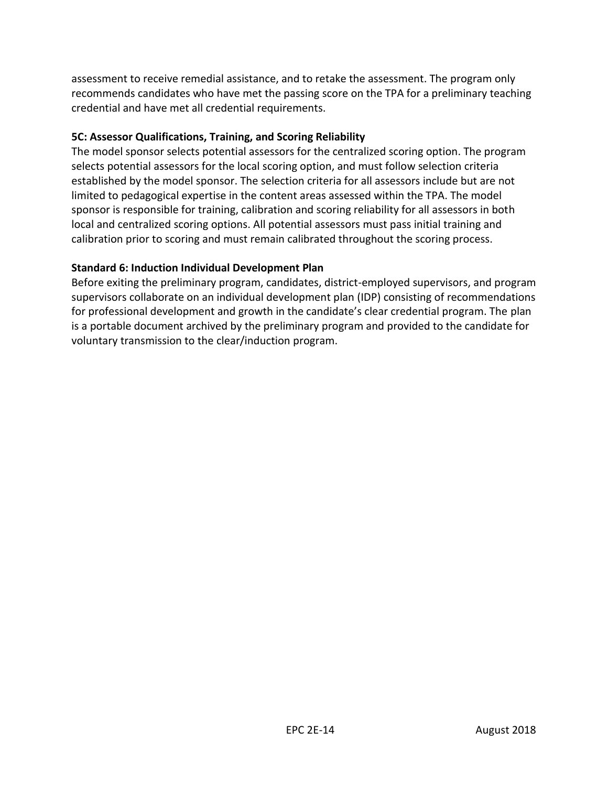assessment to receive remedial assistance, and to retake the assessment. The program only recommends candidates who have met the passing score on the TPA for a preliminary teaching credential and have met all credential requirements.

#### **5C: Assessor Qualifications, Training, and Scoring Reliability**

The model sponsor selects potential assessors for the centralized scoring option. The program selects potential assessors for the local scoring option, and must follow selection criteria established by the model sponsor. The selection criteria for all assessors include but are not limited to pedagogical expertise in the content areas assessed within the TPA. The model sponsor is responsible for training, calibration and scoring reliability for all assessors in both local and centralized scoring options. All potential assessors must pass initial training and calibration prior to scoring and must remain calibrated throughout the scoring process.

#### **Standard 6: Induction Individual Development Plan**

Before exiting the preliminary program, candidates, district-employed supervisors, and program supervisors collaborate on an individual development plan (IDP) consisting of recommendations for professional development and growth in the candidate's clear credential program. The plan is a portable document archived by the preliminary program and provided to the candidate for voluntary transmission to the clear/induction program.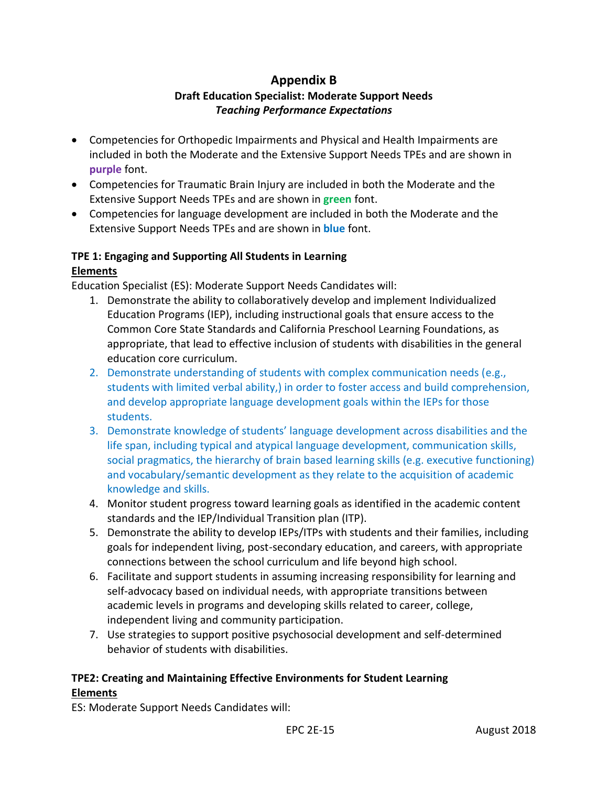# **Appendix B**

# **Draft Education Specialist: Moderate Support Needs**  *Teaching Performance Expectations*

- <span id="page-15-0"></span> Competencies for Orthopedic Impairments and Physical and Health Impairments are included in both the Moderate and the Extensive Support Needs TPEs and are shown in **purple** font.
- Competencies for Traumatic Brain Injury are included in both the Moderate and the Extensive Support Needs TPEs and are shown in **green** font.
- Competencies for language development are included in both the Moderate and the Extensive Support Needs TPEs and are shown in **blue** font.

#### **TPE 1: Engaging and Supporting All Students in Learning Elements**

Education Specialist (ES): Moderate Support Needs Candidates will:

- 1. Demonstrate the ability to collaboratively develop and implement Individualized Education Programs (IEP), including instructional goals that ensure access to the Common Core State Standards and California Preschool Learning Foundations, as appropriate, that lead to effective inclusion of students with disabilities in the general education core curriculum.
- 2. Demonstrate understanding of students with complex communication needs (e.g., students with limited verbal ability,) in order to foster access and build comprehension, and develop appropriate language development goals within the IEPs for those students.
- 3. Demonstrate knowledge of students' language development across disabilities and the life span, including typical and atypical language development, communication skills, social pragmatics, the hierarchy of brain based learning skills (e.g. executive functioning) and vocabulary/semantic development as they relate to the acquisition of academic knowledge and skills.
- 4. Monitor student progress toward learning goals as identified in the academic content standards and the IEP/Individual Transition plan (ITP).
- 5. Demonstrate the ability to develop IEPs/ITPs with students and their families, including goals for independent living, post-secondary education, and careers, with appropriate connections between the school curriculum and life beyond high school.
- 6. Facilitate and support students in assuming increasing responsibility for learning and self-advocacy based on individual needs, with appropriate transitions between academic levels in programs and developing skills related to career, college, independent living and community participation.
- 7. Use strategies to support positive psychosocial development and self-determined behavior of students with disabilities.

# **TPE2: Creating and Maintaining Effective Environments for Student Learning Elements**

ES: Moderate Support Needs Candidates will: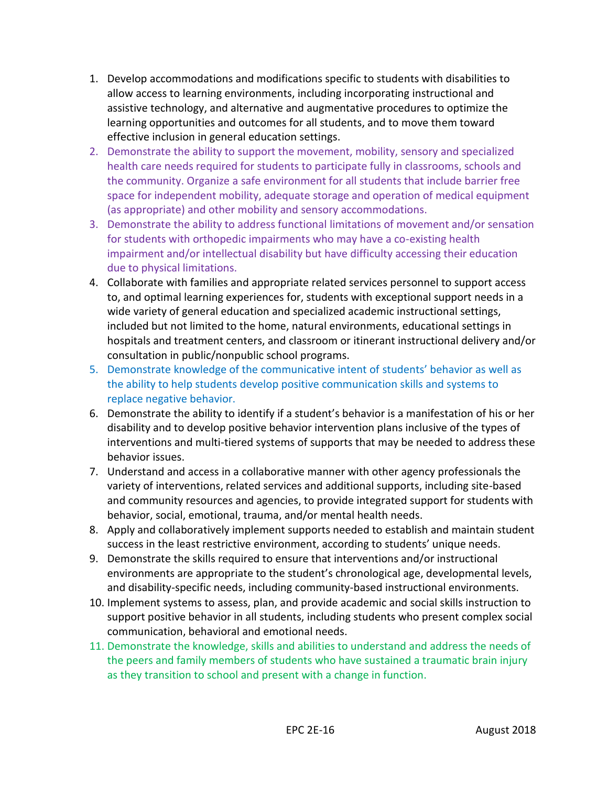- 1. Develop accommodations and modifications specific to students with disabilities to allow access to learning environments, including incorporating instructional and assistive technology, and alternative and augmentative procedures to optimize the learning opportunities and outcomes for all students, and to move them toward effective inclusion in general education settings.
- 2. Demonstrate the ability to support the movement, mobility, sensory and specialized health care needs required for students to participate fully in classrooms, schools and the community. Organize a safe environment for all students that include barrier free space for independent mobility, adequate storage and operation of medical equipment (as appropriate) and other mobility and sensory accommodations.
- 3. Demonstrate the ability to address functional limitations of movement and/or sensation for students with orthopedic impairments who may have a co-existing health impairment and/or intellectual disability but have difficulty accessing their education due to physical limitations.
- 4. Collaborate with families and appropriate related services personnel to support access to, and optimal learning experiences for, students with exceptional support needs in a wide variety of general education and specialized academic instructional settings, included but not limited to the home, natural environments, educational settings in hospitals and treatment centers, and classroom or itinerant instructional delivery and/or consultation in public/nonpublic school programs.
- 5. Demonstrate knowledge of the communicative intent of students' behavior as well as the ability to help students develop positive communication skills and systems to replace negative behavior.
- 6. Demonstrate the ability to identify if a student's behavior is a manifestation of his or her disability and to develop positive behavior intervention plans inclusive of the types of interventions and multi-tiered systems of supports that may be needed to address these behavior issues.
- 7. Understand and access in a collaborative manner with other agency professionals the variety of interventions, related services and additional supports, including site-based and community resources and agencies, to provide integrated support for students with behavior, social, emotional, trauma, and/or mental health needs.
- 8. Apply and collaboratively implement supports needed to establish and maintain student success in the least restrictive environment, according to students' unique needs.
- 9. Demonstrate the skills required to ensure that interventions and/or instructional environments are appropriate to the student's chronological age, developmental levels, and disability-specific needs, including community-based instructional environments.
- 10. Implement systems to assess, plan, and provide academic and social skills instruction to support positive behavior in all students, including students who present complex social communication, behavioral and emotional needs.
- 11. Demonstrate the knowledge, skills and abilities to understand and address the needs of the peers and family members of students who have sustained a traumatic brain injury as they transition to school and present with a change in function.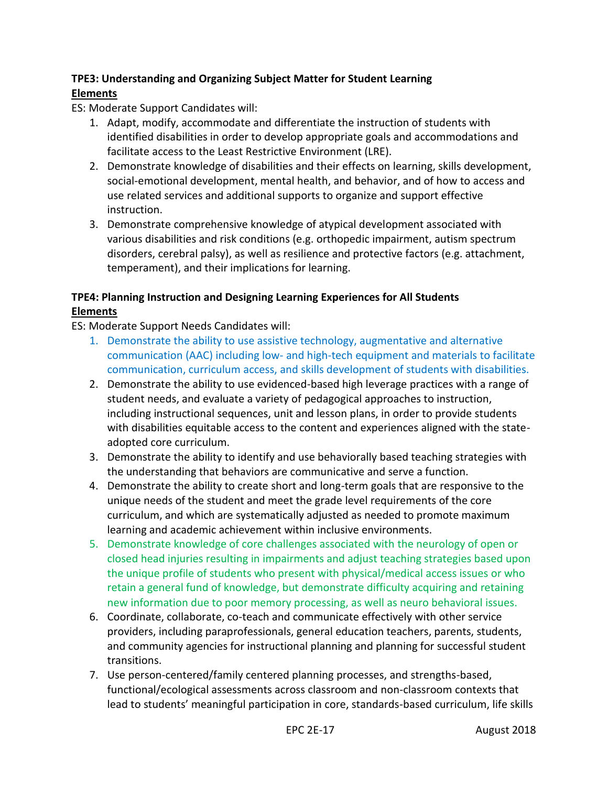# **TPE3: Understanding and Organizing Subject Matter for Student Learning Elements**

ES: Moderate Support Candidates will:

- 1. Adapt, modify, accommodate and differentiate the instruction of students with identified disabilities in order to develop appropriate goals and accommodations and facilitate access to the Least Restrictive Environment (LRE).
- 2. Demonstrate knowledge of disabilities and their effects on learning, skills development, social-emotional development, mental health, and behavior, and of how to access and use related services and additional supports to organize and support effective instruction.
- 3. Demonstrate comprehensive knowledge of atypical development associated with various disabilities and risk conditions (e.g. orthopedic impairment, autism spectrum disorders, cerebral palsy), as well as resilience and protective factors (e.g. attachment, temperament), and their implications for learning.

# **TPE4: Planning Instruction and Designing Learning Experiences for All Students Elements**

ES: Moderate Support Needs Candidates will:

- 1. Demonstrate the ability to use assistive technology, augmentative and alternative communication (AAC) including low- and high-tech equipment and materials to facilitate communication, curriculum access, and skills development of students with disabilities.
- 2. Demonstrate the ability to use evidenced-based high leverage practices with a range of student needs, and evaluate a variety of pedagogical approaches to instruction, including instructional sequences, unit and lesson plans, in order to provide students with disabilities equitable access to the content and experiences aligned with the stateadopted core curriculum.
- 3. Demonstrate the ability to identify and use behaviorally based teaching strategies with the understanding that behaviors are communicative and serve a function.
- 4. Demonstrate the ability to create short and long-term goals that are responsive to the unique needs of the student and meet the grade level requirements of the core curriculum, and which are systematically adjusted as needed to promote maximum learning and academic achievement within inclusive environments.
- 5. Demonstrate knowledge of core challenges associated with the neurology of open or closed head injuries resulting in impairments and adjust teaching strategies based upon the unique profile of students who present with physical/medical access issues or who retain a general fund of knowledge, but demonstrate difficulty acquiring and retaining new information due to poor memory processing, as well as neuro behavioral issues.
- 6. Coordinate, collaborate, co-teach and communicate effectively with other service providers, including paraprofessionals, general education teachers, parents, students, and community agencies for instructional planning and planning for successful student transitions.
- 7. Use person-centered/family centered planning processes, and strengths-based, functional/ecological assessments across classroom and non-classroom contexts that lead to students' meaningful participation in core, standards-based curriculum, life skills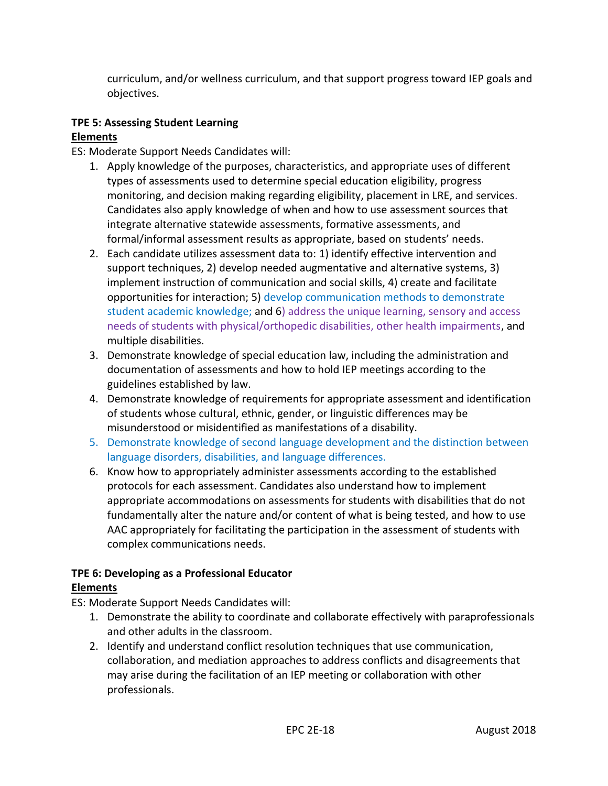curriculum, and/or wellness curriculum, and that support progress toward IEP goals and objectives.

#### **TPE 5: Assessing Student Learning Elements**

ES: Moderate Support Needs Candidates will:

- 1. Apply knowledge of the purposes, characteristics, and appropriate uses of different types of assessments used to determine special education eligibility, progress monitoring, and decision making regarding eligibility, placement in LRE, and services. Candidates also apply knowledge of when and how to use assessment sources that integrate alternative statewide assessments, formative assessments, and formal/informal assessment results as appropriate, based on students' needs.
- 2. Each candidate utilizes assessment data to: 1) identify effective intervention and support techniques, 2) develop needed augmentative and alternative systems, 3) implement instruction of communication and social skills, 4) create and facilitate opportunities for interaction; 5) develop communication methods to demonstrate student academic knowledge; and 6) address the unique learning, sensory and access needs of students with physical/orthopedic disabilities, other health impairments, and multiple disabilities.
- 3. Demonstrate knowledge of special education law, including the administration and documentation of assessments and how to hold IEP meetings according to the guidelines established by law.
- 4. Demonstrate knowledge of requirements for appropriate assessment and identification of students whose cultural, ethnic, gender, or linguistic differences may be misunderstood or misidentified as manifestations of a disability.
- 5. Demonstrate knowledge of second language development and the distinction between language disorders, disabilities, and language differences.
- 6. Know how to appropriately administer assessments according to the established protocols for each assessment. Candidates also understand how to implement appropriate accommodations on assessments for students with disabilities that do not fundamentally alter the nature and/or content of what is being tested, and how to use AAC appropriately for facilitating the participation in the assessment of students with complex communications needs.

# **TPE 6: Developing as a Professional Educator**

### **Elements**

- ES: Moderate Support Needs Candidates will:
	- 1. Demonstrate the ability to coordinate and collaborate effectively with paraprofessionals and other adults in the classroom.
	- 2. Identify and understand conflict resolution techniques that use communication, collaboration, and mediation approaches to address conflicts and disagreements that may arise during the facilitation of an IEP meeting or collaboration with other professionals.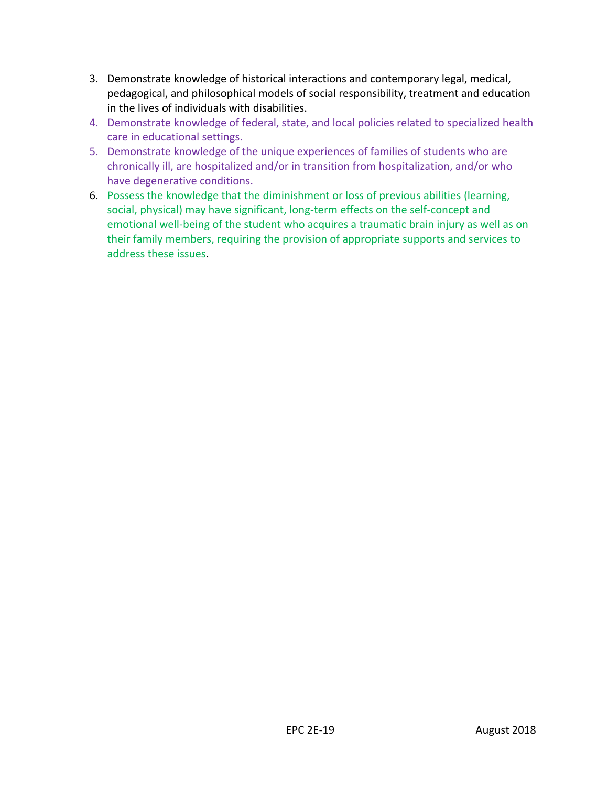- 3. Demonstrate knowledge of historical interactions and contemporary legal, medical, pedagogical, and philosophical models of social responsibility, treatment and education in the lives of individuals with disabilities.
- 4. Demonstrate knowledge of federal, state, and local policies related to specialized health care in educational settings.
- 5. Demonstrate knowledge of the unique experiences of families of students who are chronically ill, are hospitalized and/or in transition from hospitalization, and/or who have degenerative conditions.
- 6. Possess the knowledge that the diminishment or loss of previous abilities (learning, social, physical) may have significant, long-term effects on the self-concept and emotional well-being of the student who acquires a traumatic brain injury as well as on their family members, requiring the provision of appropriate supports and services to address these issues.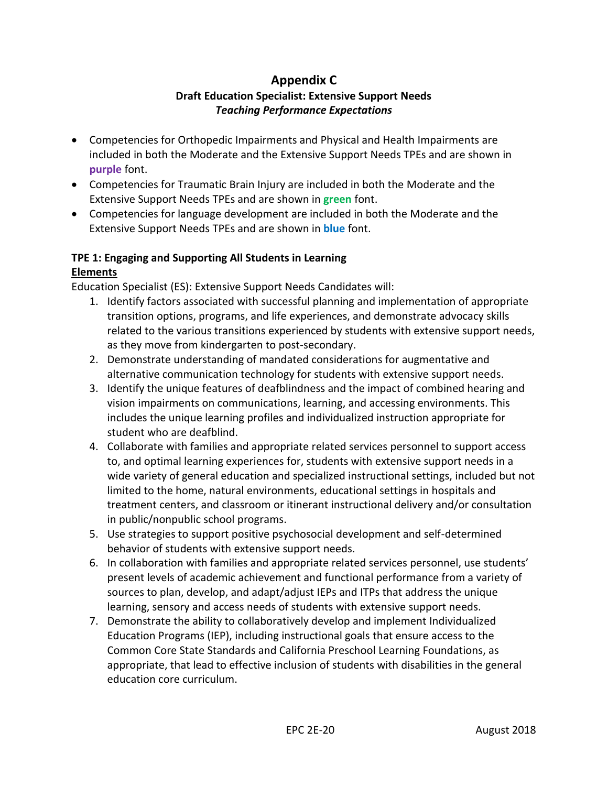# **Appendix C**

# **Draft Education Specialist: Extensive Support Needs**  *Teaching Performance Expectations*

- <span id="page-20-0"></span> Competencies for Orthopedic Impairments and Physical and Health Impairments are included in both the Moderate and the Extensive Support Needs TPEs and are shown in **purple** font.
- Competencies for Traumatic Brain Injury are included in both the Moderate and the Extensive Support Needs TPEs and are shown in **green** font.
- Competencies for language development are included in both the Moderate and the Extensive Support Needs TPEs and are shown in **blue** font.

#### **TPE 1: Engaging and Supporting All Students in Learning Elements**

Education Specialist (ES): Extensive Support Needs Candidates will:

- 1. Identify factors associated with successful planning and implementation of appropriate transition options, programs, and life experiences, and demonstrate advocacy skills related to the various transitions experienced by students with extensive support needs, as they move from kindergarten to post-secondary.
- 2. Demonstrate understanding of mandated considerations for augmentative and alternative communication technology for students with extensive support needs.
- 3. Identify the unique features of deafblindness and the impact of combined hearing and vision impairments on communications, learning, and accessing environments. This includes the unique learning profiles and individualized instruction appropriate for student who are deafblind.
- 4. Collaborate with families and appropriate related services personnel to support access to, and optimal learning experiences for, students with extensive support needs in a wide variety of general education and specialized instructional settings, included but not limited to the home, natural environments, educational settings in hospitals and treatment centers, and classroom or itinerant instructional delivery and/or consultation in public/nonpublic school programs.
- 5. Use strategies to support positive psychosocial development and self-determined behavior of students with extensive support needs.
- 6. In collaboration with families and appropriate related services personnel, use students' present levels of academic achievement and functional performance from a variety of sources to plan, develop, and adapt/adjust IEPs and ITPs that address the unique learning, sensory and access needs of students with extensive support needs.
- 7. Demonstrate the ability to collaboratively develop and implement Individualized Education Programs (IEP), including instructional goals that ensure access to the Common Core State Standards and California Preschool Learning Foundations, as appropriate, that lead to effective inclusion of students with disabilities in the general education core curriculum.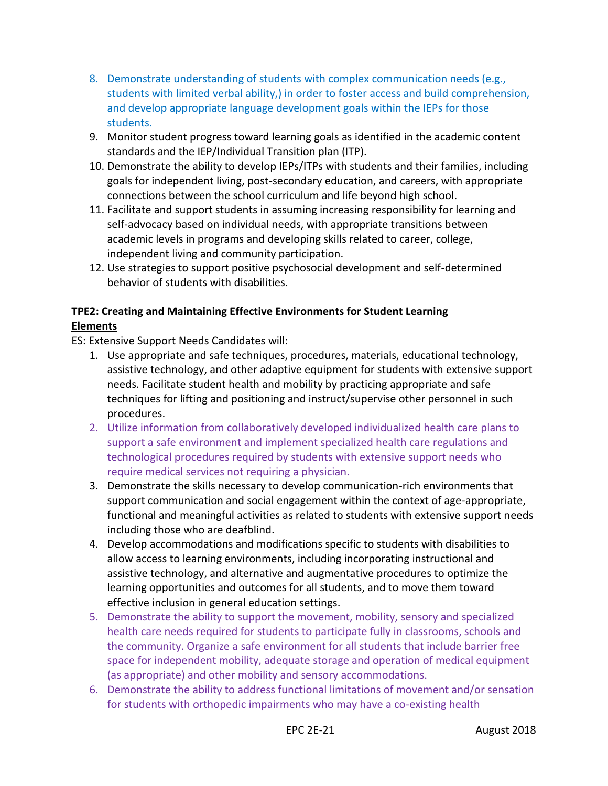- 8. Demonstrate understanding of students with complex communication needs (e.g., students with limited verbal ability,) in order to foster access and build comprehension, and develop appropriate language development goals within the IEPs for those students.
- 9. Monitor student progress toward learning goals as identified in the academic content standards and the IEP/Individual Transition plan (ITP).
- 10. Demonstrate the ability to develop IEPs/ITPs with students and their families, including goals for independent living, post-secondary education, and careers, with appropriate connections between the school curriculum and life beyond high school.
- 11. Facilitate and support students in assuming increasing responsibility for learning and self-advocacy based on individual needs, with appropriate transitions between academic levels in programs and developing skills related to career, college, independent living and community participation.
- 12. Use strategies to support positive psychosocial development and self-determined behavior of students with disabilities.

### **TPE2: Creating and Maintaining Effective Environments for Student Learning Elements**

- 1. Use appropriate and safe techniques, procedures, materials, educational technology, assistive technology, and other adaptive equipment for students with extensive support needs. Facilitate student health and mobility by practicing appropriate and safe techniques for lifting and positioning and instruct/supervise other personnel in such procedures.
- 2. Utilize information from collaboratively developed individualized health care plans to support a safe environment and implement specialized health care regulations and technological procedures required by students with extensive support needs who require medical services not requiring a physician.
- 3. Demonstrate the skills necessary to develop communication-rich environments that support communication and social engagement within the context of age-appropriate, functional and meaningful activities as related to students with extensive support needs including those who are deafblind.
- 4. Develop accommodations and modifications specific to students with disabilities to allow access to learning environments, including incorporating instructional and assistive technology, and alternative and augmentative procedures to optimize the learning opportunities and outcomes for all students, and to move them toward effective inclusion in general education settings.
- 5. Demonstrate the ability to support the movement, mobility, sensory and specialized health care needs required for students to participate fully in classrooms, schools and the community. Organize a safe environment for all students that include barrier free space for independent mobility, adequate storage and operation of medical equipment (as appropriate) and other mobility and sensory accommodations.
- 6. Demonstrate the ability to address functional limitations of movement and/or sensation for students with orthopedic impairments who may have a co-existing health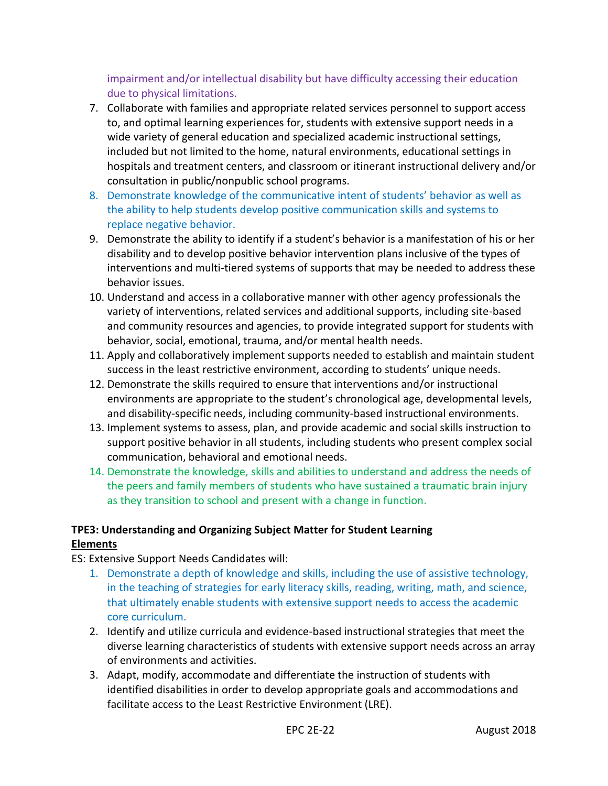impairment and/or intellectual disability but have difficulty accessing their education due to physical limitations.

- 7. Collaborate with families and appropriate related services personnel to support access to, and optimal learning experiences for, students with extensive support needs in a wide variety of general education and specialized academic instructional settings, included but not limited to the home, natural environments, educational settings in hospitals and treatment centers, and classroom or itinerant instructional delivery and/or consultation in public/nonpublic school programs.
- 8. Demonstrate knowledge of the communicative intent of students' behavior as well as the ability to help students develop positive communication skills and systems to replace negative behavior.
- 9. Demonstrate the ability to identify if a student's behavior is a manifestation of his or her disability and to develop positive behavior intervention plans inclusive of the types of interventions and multi-tiered systems of supports that may be needed to address these behavior issues.
- 10. Understand and access in a collaborative manner with other agency professionals the variety of interventions, related services and additional supports, including site-based and community resources and agencies, to provide integrated support for students with behavior, social, emotional, trauma, and/or mental health needs.
- 11. Apply and collaboratively implement supports needed to establish and maintain student success in the least restrictive environment, according to students' unique needs.
- 12. Demonstrate the skills required to ensure that interventions and/or instructional environments are appropriate to the student's chronological age, developmental levels, and disability-specific needs, including community-based instructional environments.
- 13. Implement systems to assess, plan, and provide academic and social skills instruction to support positive behavior in all students, including students who present complex social communication, behavioral and emotional needs.
- 14. Demonstrate the knowledge, skills and abilities to understand and address the needs of the peers and family members of students who have sustained a traumatic brain injury as they transition to school and present with a change in function.

### **TPE3: Understanding and Organizing Subject Matter for Student Learning Elements**

- 1. Demonstrate a depth of knowledge and skills, including the use of assistive technology, in the teaching of strategies for early literacy skills, reading, writing, math, and science, that ultimately enable students with extensive support needs to access the academic core curriculum.
- 2. Identify and utilize curricula and evidence-based instructional strategies that meet the diverse learning characteristics of students with extensive support needs across an array of environments and activities.
- 3. Adapt, modify, accommodate and differentiate the instruction of students with identified disabilities in order to develop appropriate goals and accommodations and facilitate access to the Least Restrictive Environment (LRE).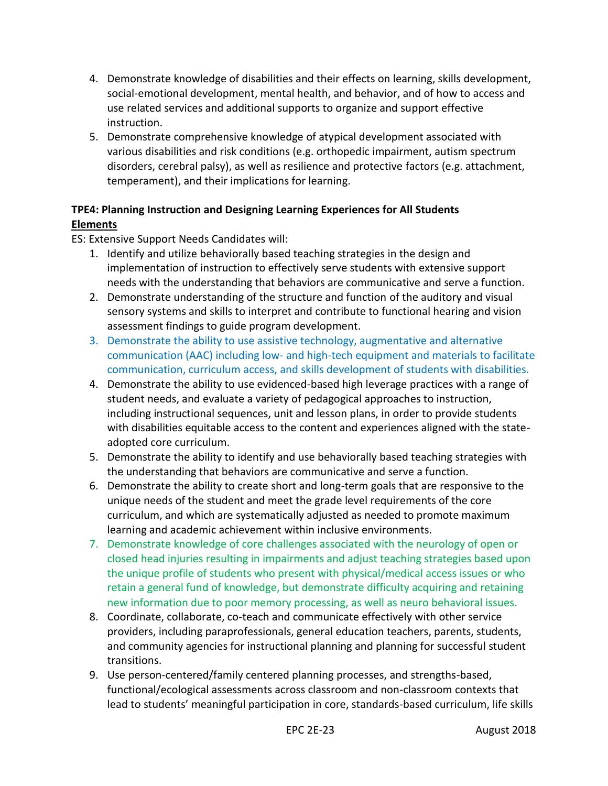- 4. Demonstrate knowledge of disabilities and their effects on learning, skills development, social-emotional development, mental health, and behavior, and of how to access and use related services and additional supports to organize and support effective instruction.
- 5. Demonstrate comprehensive knowledge of atypical development associated with various disabilities and risk conditions (e.g. orthopedic impairment, autism spectrum disorders, cerebral palsy), as well as resilience and protective factors (e.g. attachment, temperament), and their implications for learning.

# **TPE4: Planning Instruction and Designing Learning Experiences for All Students Elements**

- 1. Identify and utilize behaviorally based teaching strategies in the design and implementation of instruction to effectively serve students with extensive support needs with the understanding that behaviors are communicative and serve a function.
- 2. Demonstrate understanding of the structure and function of the auditory and visual sensory systems and skills to interpret and contribute to functional hearing and vision assessment findings to guide program development.
- 3. Demonstrate the ability to use assistive technology, augmentative and alternative communication (AAC) including low- and high-tech equipment and materials to facilitate communication, curriculum access, and skills development of students with disabilities.
- 4. Demonstrate the ability to use evidenced-based high leverage practices with a range of student needs, and evaluate a variety of pedagogical approaches to instruction, including instructional sequences, unit and lesson plans, in order to provide students with disabilities equitable access to the content and experiences aligned with the stateadopted core curriculum.
- 5. Demonstrate the ability to identify and use behaviorally based teaching strategies with the understanding that behaviors are communicative and serve a function.
- 6. Demonstrate the ability to create short and long-term goals that are responsive to the unique needs of the student and meet the grade level requirements of the core curriculum, and which are systematically adjusted as needed to promote maximum learning and academic achievement within inclusive environments.
- 7. Demonstrate knowledge of core challenges associated with the neurology of open or closed head injuries resulting in impairments and adjust teaching strategies based upon the unique profile of students who present with physical/medical access issues or who retain a general fund of knowledge, but demonstrate difficulty acquiring and retaining new information due to poor memory processing, as well as neuro behavioral issues.
- 8. Coordinate, collaborate, co-teach and communicate effectively with other service providers, including paraprofessionals, general education teachers, parents, students, and community agencies for instructional planning and planning for successful student transitions.
- 9. Use person-centered/family centered planning processes, and strengths-based, functional/ecological assessments across classroom and non-classroom contexts that lead to students' meaningful participation in core, standards-based curriculum, life skills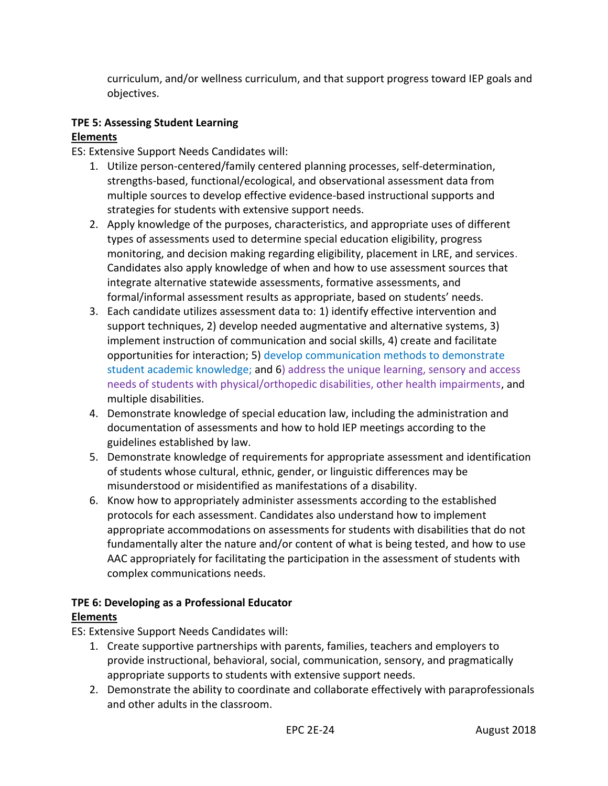curriculum, and/or wellness curriculum, and that support progress toward IEP goals and objectives.

#### **TPE 5: Assessing Student Learning Elements**

ES: Extensive Support Needs Candidates will:

- 1. Utilize person-centered/family centered planning processes, self-determination, strengths-based, functional/ecological, and observational assessment data from multiple sources to develop effective evidence-based instructional supports and strategies for students with extensive support needs.
- 2. Apply knowledge of the purposes, characteristics, and appropriate uses of different types of assessments used to determine special education eligibility, progress monitoring, and decision making regarding eligibility, placement in LRE, and services. Candidates also apply knowledge of when and how to use assessment sources that integrate alternative statewide assessments, formative assessments, and formal/informal assessment results as appropriate, based on students' needs.
- 3. Each candidate utilizes assessment data to: 1) identify effective intervention and support techniques, 2) develop needed augmentative and alternative systems, 3) implement instruction of communication and social skills, 4) create and facilitate opportunities for interaction; 5) develop communication methods to demonstrate student academic knowledge; and 6) address the unique learning, sensory and access needs of students with physical/orthopedic disabilities, other health impairments, and multiple disabilities.
- 4. Demonstrate knowledge of special education law, including the administration and documentation of assessments and how to hold IEP meetings according to the guidelines established by law.
- 5. Demonstrate knowledge of requirements for appropriate assessment and identification of students whose cultural, ethnic, gender, or linguistic differences may be misunderstood or misidentified as manifestations of a disability.
- 6. Know how to appropriately administer assessments according to the established protocols for each assessment. Candidates also understand how to implement appropriate accommodations on assessments for students with disabilities that do not fundamentally alter the nature and/or content of what is being tested, and how to use AAC appropriately for facilitating the participation in the assessment of students with complex communications needs.

### **TPE 6: Developing as a Professional Educator Elements**

- 1. Create supportive partnerships with parents, families, teachers and employers to provide instructional, behavioral, social, communication, sensory, and pragmatically appropriate supports to students with extensive support needs.
- 2. Demonstrate the ability to coordinate and collaborate effectively with paraprofessionals and other adults in the classroom.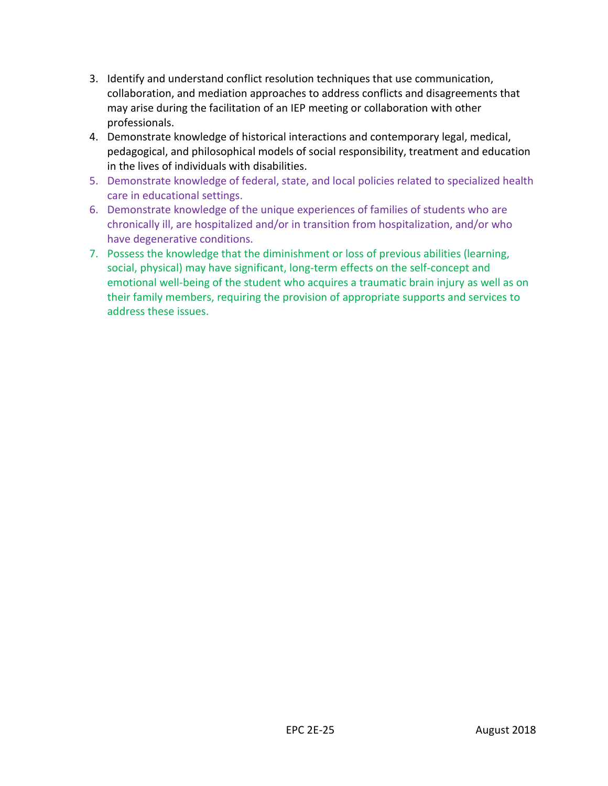- 3. Identify and understand conflict resolution techniques that use communication, collaboration, and mediation approaches to address conflicts and disagreements that may arise during the facilitation of an IEP meeting or collaboration with other professionals.
- 4. Demonstrate knowledge of historical interactions and contemporary legal, medical, pedagogical, and philosophical models of social responsibility, treatment and education in the lives of individuals with disabilities.
- 5. Demonstrate knowledge of federal, state, and local policies related to specialized health care in educational settings.
- 6. Demonstrate knowledge of the unique experiences of families of students who are chronically ill, are hospitalized and/or in transition from hospitalization, and/or who have degenerative conditions.
- 7. Possess the knowledge that the diminishment or loss of previous abilities (learning, social, physical) may have significant, long-term effects on the self-concept and emotional well-being of the student who acquires a traumatic brain injury as well as on their family members, requiring the provision of appropriate supports and services to address these issues.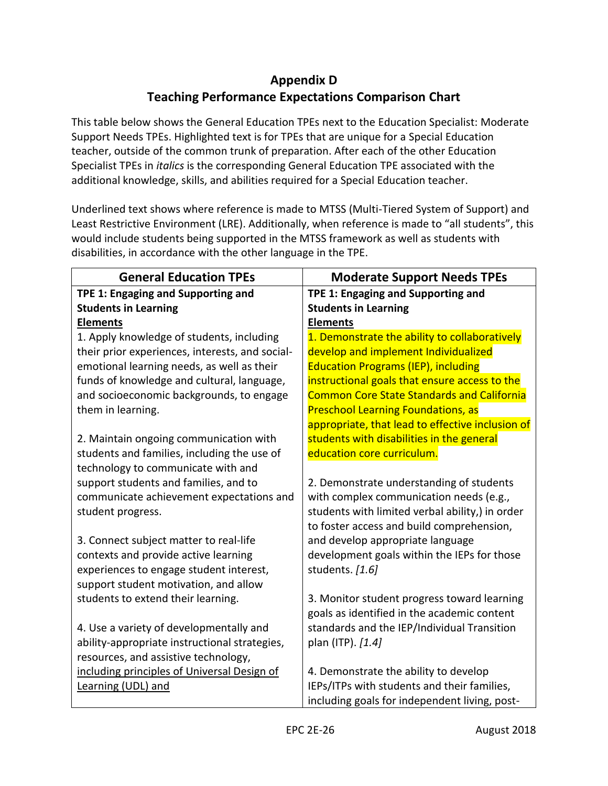# **Appendix D Teaching Performance Expectations Comparison Chart**

<span id="page-26-0"></span>This table below shows the General Education TPEs next to the Education Specialist: Moderate Support Needs TPEs. Highlighted text is for TPEs that are unique for a Special Education teacher, outside of the common trunk of preparation. After each of the other Education Specialist TPEs in *italics* is the corresponding General Education TPE associated with the additional knowledge, skills, and abilities required for a Special Education teacher.

Underlined text shows where reference is made to MTSS (Multi-Tiered System of Support) and Least Restrictive Environment (LRE). Additionally, when reference is made to "all students", this would include students being supported in the MTSS framework as well as students with disabilities, in accordance with the other language in the TPE.

| <b>General Education TPEs</b>                   | <b>Moderate Support Needs TPEs</b>                |
|-------------------------------------------------|---------------------------------------------------|
| TPE 1: Engaging and Supporting and              | TPE 1: Engaging and Supporting and                |
| <b>Students in Learning</b>                     | <b>Students in Learning</b>                       |
| <b>Elements</b>                                 | <b>Elements</b>                                   |
| 1. Apply knowledge of students, including       | 1. Demonstrate the ability to collaboratively     |
| their prior experiences, interests, and social- | develop and implement Individualized              |
| emotional learning needs, as well as their      | <b>Education Programs (IEP), including</b>        |
| funds of knowledge and cultural, language,      | instructional goals that ensure access to the     |
| and socioeconomic backgrounds, to engage        | <b>Common Core State Standards and California</b> |
| them in learning.                               | <b>Preschool Learning Foundations, as</b>         |
|                                                 | appropriate, that lead to effective inclusion of  |
| 2. Maintain ongoing communication with          | students with disabilities in the general         |
| students and families, including the use of     | education core curriculum.                        |
| technology to communicate with and              |                                                   |
| support students and families, and to           | 2. Demonstrate understanding of students          |
| communicate achievement expectations and        | with complex communication needs (e.g.,           |
| student progress.                               | students with limited verbal ability,) in order   |
|                                                 | to foster access and build comprehension,         |
| 3. Connect subject matter to real-life          | and develop appropriate language                  |
| contexts and provide active learning            | development goals within the IEPs for those       |
| experiences to engage student interest,         | students. [1.6]                                   |
| support student motivation, and allow           |                                                   |
| students to extend their learning.              | 3. Monitor student progress toward learning       |
|                                                 | goals as identified in the academic content       |
| 4. Use a variety of developmentally and         | standards and the IEP/Individual Transition       |
| ability-appropriate instructional strategies,   | plan (ITP). [1.4]                                 |
| resources, and assistive technology,            |                                                   |
| including principles of Universal Design of     | 4. Demonstrate the ability to develop             |
| Learning (UDL) and                              | IEPs/ITPs with students and their families,       |
|                                                 | including goals for independent living, post-     |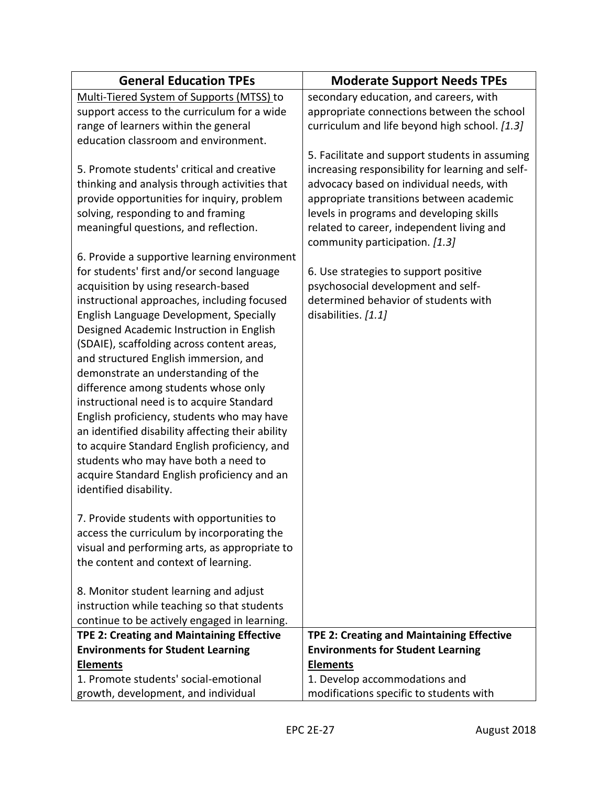| <b>General Education TPEs</b>                    | <b>Moderate Support Needs TPEs</b>               |
|--------------------------------------------------|--------------------------------------------------|
| Multi-Tiered System of Supports (MTSS) to        | secondary education, and careers, with           |
| support access to the curriculum for a wide      | appropriate connections between the school       |
| range of learners within the general             | curriculum and life beyond high school. [1.3]    |
| education classroom and environment.             |                                                  |
|                                                  | 5. Facilitate and support students in assuming   |
| 5. Promote students' critical and creative       | increasing responsibility for learning and self- |
| thinking and analysis through activities that    | advocacy based on individual needs, with         |
| provide opportunities for inquiry, problem       | appropriate transitions between academic         |
| solving, responding to and framing               | levels in programs and developing skills         |
| meaningful questions, and reflection.            | related to career, independent living and        |
|                                                  | community participation. [1.3]                   |
| 6. Provide a supportive learning environment     |                                                  |
| for students' first and/or second language       | 6. Use strategies to support positive            |
| acquisition by using research-based              | psychosocial development and self-               |
| instructional approaches, including focused      | determined behavior of students with             |
| English Language Development, Specially          | disabilities. [1.1]                              |
| Designed Academic Instruction in English         |                                                  |
| (SDAIE), scaffolding across content areas,       |                                                  |
| and structured English immersion, and            |                                                  |
| demonstrate an understanding of the              |                                                  |
| difference among students whose only             |                                                  |
| instructional need is to acquire Standard        |                                                  |
| English proficiency, students who may have       |                                                  |
| an identified disability affecting their ability |                                                  |
| to acquire Standard English proficiency, and     |                                                  |
| students who may have both a need to             |                                                  |
| acquire Standard English proficiency and an      |                                                  |
| identified disability.                           |                                                  |
|                                                  |                                                  |
| 7. Provide students with opportunities to        |                                                  |
| access the curriculum by incorporating the       |                                                  |
| visual and performing arts, as appropriate to    |                                                  |
| the content and context of learning.             |                                                  |
|                                                  |                                                  |
| 8. Monitor student learning and adjust           |                                                  |
| instruction while teaching so that students      |                                                  |
| continue to be actively engaged in learning.     |                                                  |
| <b>TPE 2: Creating and Maintaining Effective</b> | <b>TPE 2: Creating and Maintaining Effective</b> |
| <b>Environments for Student Learning</b>         | <b>Environments for Student Learning</b>         |
| <b>Elements</b>                                  | <b>Elements</b>                                  |
| 1. Promote students' social-emotional            | 1. Develop accommodations and                    |
| growth, development, and individual              | modifications specific to students with          |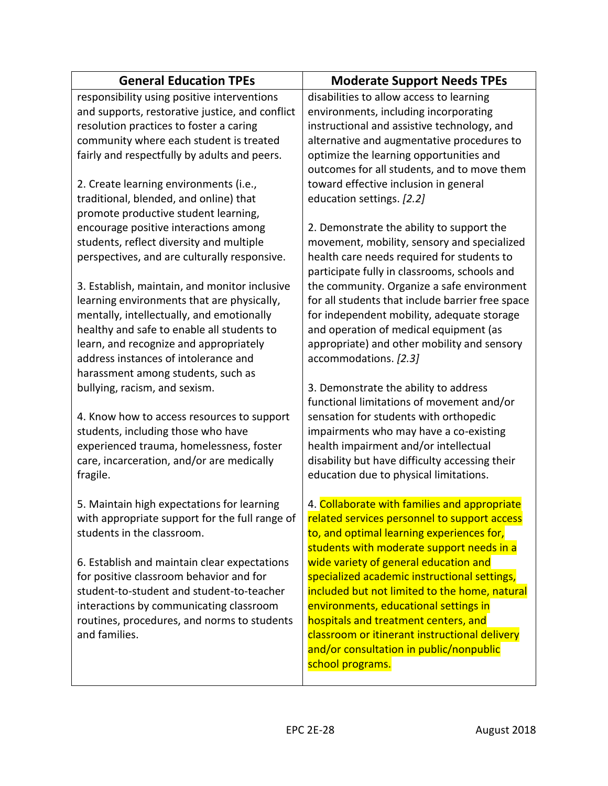| <b>General Education TPEs</b>                   | <b>Moderate Support Needs TPEs</b>               |
|-------------------------------------------------|--------------------------------------------------|
| responsibility using positive interventions     | disabilities to allow access to learning         |
| and supports, restorative justice, and conflict | environments, including incorporating            |
| resolution practices to foster a caring         | instructional and assistive technology, and      |
| community where each student is treated         | alternative and augmentative procedures to       |
| fairly and respectfully by adults and peers.    | optimize the learning opportunities and          |
|                                                 | outcomes for all students, and to move them      |
| 2. Create learning environments (i.e.,          | toward effective inclusion in general            |
| traditional, blended, and online) that          | education settings. [2.2]                        |
| promote productive student learning,            |                                                  |
| encourage positive interactions among           | 2. Demonstrate the ability to support the        |
| students, reflect diversity and multiple        | movement, mobility, sensory and specialized      |
| perspectives, and are culturally responsive.    | health care needs required for students to       |
|                                                 | participate fully in classrooms, schools and     |
| 3. Establish, maintain, and monitor inclusive   | the community. Organize a safe environment       |
| learning environments that are physically,      | for all students that include barrier free space |
| mentally, intellectually, and emotionally       | for independent mobility, adequate storage       |
| healthy and safe to enable all students to      | and operation of medical equipment (as           |
| learn, and recognize and appropriately          | appropriate) and other mobility and sensory      |
| address instances of intolerance and            | accommodations. [2.3]                            |
| harassment among students, such as              |                                                  |
| bullying, racism, and sexism.                   | 3. Demonstrate the ability to address            |
|                                                 | functional limitations of movement and/or        |
| 4. Know how to access resources to support      | sensation for students with orthopedic           |
| students, including those who have              | impairments who may have a co-existing           |
| experienced trauma, homelessness, foster        | health impairment and/or intellectual            |
| care, incarceration, and/or are medically       | disability but have difficulty accessing their   |
| fragile.                                        | education due to physical limitations.           |
| 5. Maintain high expectations for learning      | 4. Collaborate with families and appropriate     |
| with appropriate support for the full range of  | related services personnel to support access     |
| students in the classroom.                      | to, and optimal learning experiences for,        |
|                                                 | students with moderate support needs in a        |
| 6. Establish and maintain clear expectations    | wide variety of general education and            |
| for positive classroom behavior and for         | specialized academic instructional settings,     |
| student-to-student and student-to-teacher       | included but not limited to the home, natural    |
| interactions by communicating classroom         | environments, educational settings in            |
| routines, procedures, and norms to students     | hospitals and treatment centers, and             |
| and families.                                   | classroom or itinerant instructional delivery    |
|                                                 | and/or consultation in public/nonpublic          |
|                                                 | school programs.                                 |
|                                                 |                                                  |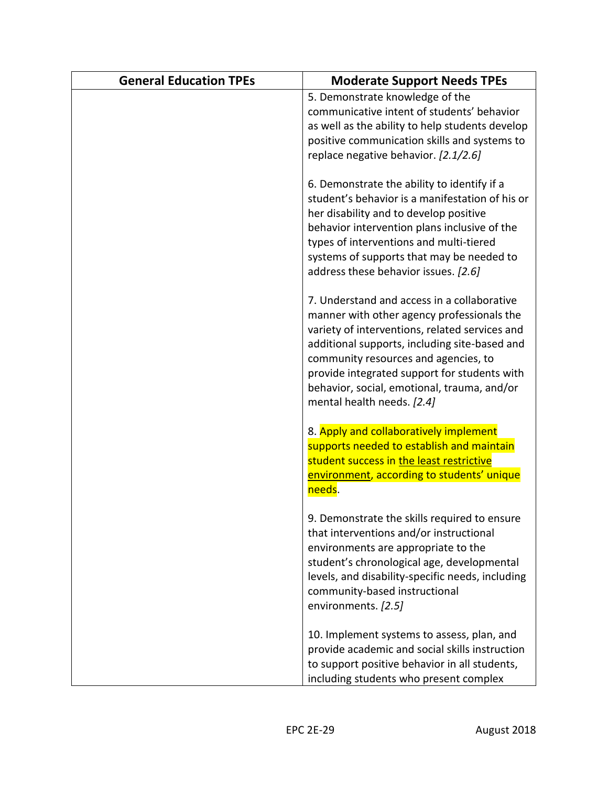| <b>General Education TPEs</b> | <b>Moderate Support Needs TPEs</b>                                                                                                                                                                                                                                                                                                                                |
|-------------------------------|-------------------------------------------------------------------------------------------------------------------------------------------------------------------------------------------------------------------------------------------------------------------------------------------------------------------------------------------------------------------|
|                               | 5. Demonstrate knowledge of the<br>communicative intent of students' behavior<br>as well as the ability to help students develop<br>positive communication skills and systems to<br>replace negative behavior. [2.1/2.6]                                                                                                                                          |
|                               | 6. Demonstrate the ability to identify if a<br>student's behavior is a manifestation of his or<br>her disability and to develop positive<br>behavior intervention plans inclusive of the<br>types of interventions and multi-tiered<br>systems of supports that may be needed to<br>address these behavior issues. [2.6]                                          |
|                               | 7. Understand and access in a collaborative<br>manner with other agency professionals the<br>variety of interventions, related services and<br>additional supports, including site-based and<br>community resources and agencies, to<br>provide integrated support for students with<br>behavior, social, emotional, trauma, and/or<br>mental health needs. [2.4] |
|                               | 8. Apply and collaboratively implement<br>supports needed to establish and maintain<br>student success in the least restrictive<br>environment, according to students' unique<br>needs.                                                                                                                                                                           |
|                               | 9. Demonstrate the skills required to ensure<br>that interventions and/or instructional<br>environments are appropriate to the<br>student's chronological age, developmental<br>levels, and disability-specific needs, including<br>community-based instructional<br>environments. [2.5]                                                                          |
|                               | 10. Implement systems to assess, plan, and<br>provide academic and social skills instruction<br>to support positive behavior in all students,<br>including students who present complex                                                                                                                                                                           |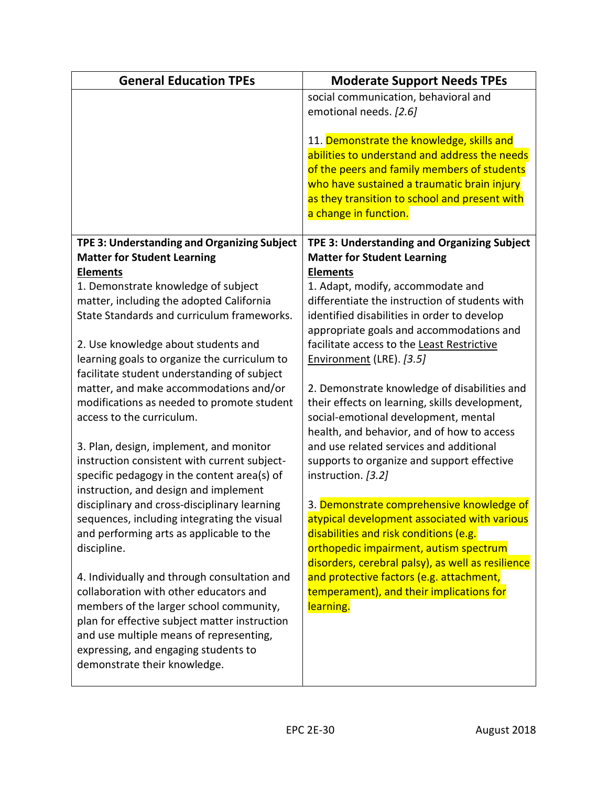| <b>General Education TPEs</b>                                                           | <b>Moderate Support Needs TPEs</b>                                                            |
|-----------------------------------------------------------------------------------------|-----------------------------------------------------------------------------------------------|
|                                                                                         | social communication, behavioral and<br>emotional needs. [2.6]                                |
|                                                                                         | 11. Demonstrate the knowledge, skills and                                                     |
|                                                                                         | abilities to understand and address the needs                                                 |
|                                                                                         | of the peers and family members of students<br>who have sustained a traumatic brain injury    |
|                                                                                         | as they transition to school and present with                                                 |
|                                                                                         | a change in function.                                                                         |
| TPE 3: Understanding and Organizing Subject                                             | TPE 3: Understanding and Organizing Subject                                                   |
| <b>Matter for Student Learning</b>                                                      | <b>Matter for Student Learning</b>                                                            |
| <b>Elements</b>                                                                         | <b>Elements</b>                                                                               |
| 1. Demonstrate knowledge of subject                                                     | 1. Adapt, modify, accommodate and                                                             |
| matter, including the adopted California                                                | differentiate the instruction of students with                                                |
| State Standards and curriculum frameworks.                                              | identified disabilities in order to develop<br>appropriate goals and accommodations and       |
| 2. Use knowledge about students and                                                     | facilitate access to the Least Restrictive                                                    |
| learning goals to organize the curriculum to                                            | Environment (LRE). [3.5]                                                                      |
| facilitate student understanding of subject                                             |                                                                                               |
| matter, and make accommodations and/or                                                  | 2. Demonstrate knowledge of disabilities and                                                  |
| modifications as needed to promote student                                              | their effects on learning, skills development,                                                |
| access to the curriculum.                                                               | social-emotional development, mental                                                          |
|                                                                                         | health, and behavior, and of how to access<br>and use related services and additional         |
| 3. Plan, design, implement, and monitor<br>instruction consistent with current subject- | supports to organize and support effective                                                    |
| specific pedagogy in the content area(s) of                                             | instruction. [3.2]                                                                            |
| instruction, and design and implement                                                   |                                                                                               |
| disciplinary and cross-disciplinary learning                                            | 3. Demonstrate comprehensive knowledge of                                                     |
| sequences, including integrating the visual                                             | atypical development associated with various                                                  |
| and performing arts as applicable to the                                                | disabilities and risk conditions (e.g.                                                        |
| discipline.                                                                             | orthopedic impairment, autism spectrum                                                        |
| 4. Individually and through consultation and                                            | disorders, cerebral palsy), as well as resilience<br>and protective factors (e.g. attachment, |
| collaboration with other educators and                                                  | temperament), and their implications for                                                      |
| members of the larger school community,                                                 | learning.                                                                                     |
| plan for effective subject matter instruction                                           |                                                                                               |
| and use multiple means of representing,                                                 |                                                                                               |
| expressing, and engaging students to                                                    |                                                                                               |
| demonstrate their knowledge.                                                            |                                                                                               |

 $\overline{\phantom{a}}$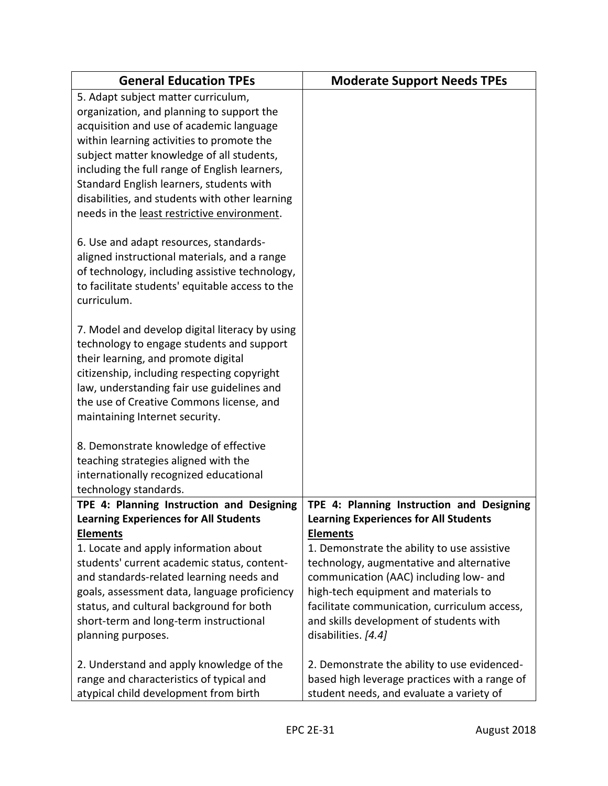| <b>General Education TPEs</b>                                                        | <b>Moderate Support Needs TPEs</b>                                                      |
|--------------------------------------------------------------------------------------|-----------------------------------------------------------------------------------------|
| 5. Adapt subject matter curriculum,                                                  |                                                                                         |
| organization, and planning to support the                                            |                                                                                         |
| acquisition and use of academic language                                             |                                                                                         |
| within learning activities to promote the                                            |                                                                                         |
| subject matter knowledge of all students,                                            |                                                                                         |
| including the full range of English learners,                                        |                                                                                         |
| Standard English learners, students with                                             |                                                                                         |
| disabilities, and students with other learning                                       |                                                                                         |
| needs in the least restrictive environment.                                          |                                                                                         |
| 6. Use and adapt resources, standards-                                               |                                                                                         |
| aligned instructional materials, and a range                                         |                                                                                         |
| of technology, including assistive technology,                                       |                                                                                         |
| to facilitate students' equitable access to the                                      |                                                                                         |
| curriculum.                                                                          |                                                                                         |
| 7. Model and develop digital literacy by using                                       |                                                                                         |
| technology to engage students and support                                            |                                                                                         |
| their learning, and promote digital                                                  |                                                                                         |
| citizenship, including respecting copyright                                          |                                                                                         |
| law, understanding fair use guidelines and                                           |                                                                                         |
| the use of Creative Commons license, and                                             |                                                                                         |
| maintaining Internet security.                                                       |                                                                                         |
| 8. Demonstrate knowledge of effective                                                |                                                                                         |
| teaching strategies aligned with the                                                 |                                                                                         |
| internationally recognized educational                                               |                                                                                         |
| technology standards.                                                                |                                                                                         |
| TPE 4: Planning Instruction and Designing                                            | TPE 4: Planning Instruction and Designing                                               |
| <b>Learning Experiences for All Students</b>                                         | <b>Learning Experiences for All Students</b>                                            |
| <b>Elements</b>                                                                      | <b>Elements</b>                                                                         |
| 1. Locate and apply information about<br>students' current academic status, content- | 1. Demonstrate the ability to use assistive<br>technology, augmentative and alternative |
| and standards-related learning needs and                                             | communication (AAC) including low- and                                                  |
| goals, assessment data, language proficiency                                         | high-tech equipment and materials to                                                    |
| status, and cultural background for both                                             | facilitate communication, curriculum access,                                            |
| short-term and long-term instructional                                               | and skills development of students with                                                 |
| planning purposes.                                                                   | disabilities. [4.4]                                                                     |
|                                                                                      |                                                                                         |
| 2. Understand and apply knowledge of the                                             | 2. Demonstrate the ability to use evidenced-                                            |
| range and characteristics of typical and                                             | based high leverage practices with a range of                                           |
| atypical child development from birth                                                | student needs, and evaluate a variety of                                                |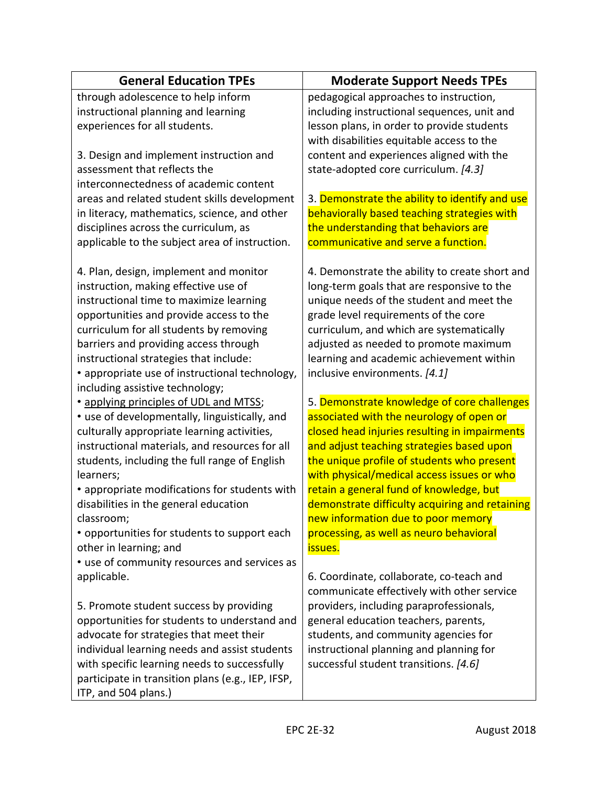| <b>General Education TPEs</b>                                          | <b>Moderate Support Needs TPEs</b>             |
|------------------------------------------------------------------------|------------------------------------------------|
| through adolescence to help inform                                     | pedagogical approaches to instruction,         |
| instructional planning and learning                                    | including instructional sequences, unit and    |
| experiences for all students.                                          | lesson plans, in order to provide students     |
|                                                                        | with disabilities equitable access to the      |
| 3. Design and implement instruction and                                | content and experiences aligned with the       |
| assessment that reflects the                                           | state-adopted core curriculum. [4.3]           |
| interconnectedness of academic content                                 |                                                |
| areas and related student skills development                           | 3. Demonstrate the ability to identify and use |
| in literacy, mathematics, science, and other                           | behaviorally based teaching strategies with    |
| disciplines across the curriculum, as                                  | the understanding that behaviors are           |
| applicable to the subject area of instruction.                         | communicative and serve a function.            |
| 4. Plan, design, implement and monitor                                 | 4. Demonstrate the ability to create short and |
| instruction, making effective use of                                   | long-term goals that are responsive to the     |
| instructional time to maximize learning                                | unique needs of the student and meet the       |
| opportunities and provide access to the                                | grade level requirements of the core           |
| curriculum for all students by removing                                | curriculum, and which are systematically       |
| barriers and providing access through                                  | adjusted as needed to promote maximum          |
| instructional strategies that include:                                 | learning and academic achievement within       |
| • appropriate use of instructional technology,                         | inclusive environments. [4.1]                  |
| including assistive technology;                                        |                                                |
| • applying principles of UDL and MTSS;                                 | 5. Demonstrate knowledge of core challenges    |
| • use of developmentally, linguistically, and                          | associated with the neurology of open or       |
| culturally appropriate learning activities,                            | closed head injuries resulting in impairments  |
| instructional materials, and resources for all                         | and adjust teaching strategies based upon      |
| students, including the full range of English                          | the unique profile of students who present     |
| learners;                                                              | with physical/medical access issues or who     |
| • appropriate modifications for students with                          | retain a general fund of knowledge, but        |
| disabilities in the general education                                  | demonstrate difficulty acquiring and retaining |
| classroom;                                                             | new information due to poor memory             |
| • opportunities for students to support each                           | processing, as well as neuro behavioral        |
| other in learning; and<br>• use of community resources and services as | issues.                                        |
| applicable.                                                            | 6. Coordinate, collaborate, co-teach and       |
|                                                                        | communicate effectively with other service     |
| 5. Promote student success by providing                                | providers, including paraprofessionals,        |
| opportunities for students to understand and                           | general education teachers, parents,           |
| advocate for strategies that meet their                                | students, and community agencies for           |
| individual learning needs and assist students                          | instructional planning and planning for        |
| with specific learning needs to successfully                           | successful student transitions. [4.6]          |
| participate in transition plans (e.g., IEP, IFSP,                      |                                                |
| ITP, and 504 plans.)                                                   |                                                |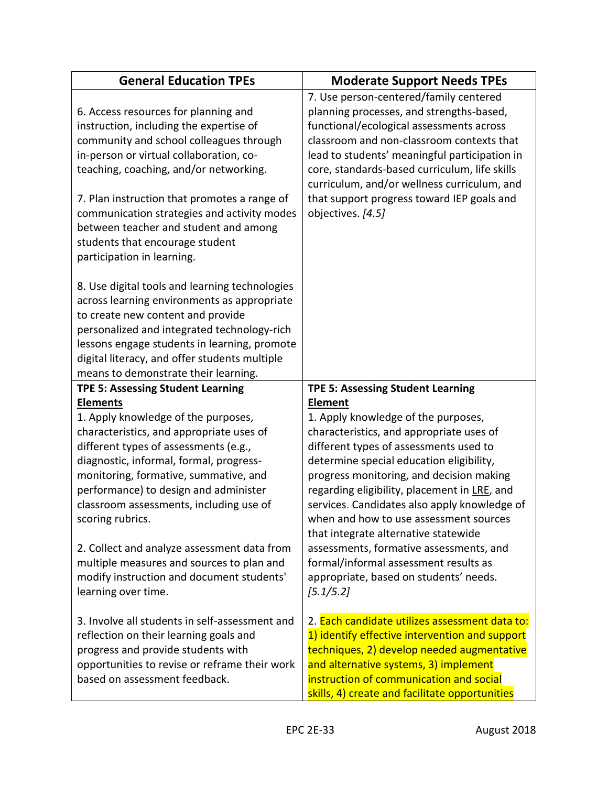| <b>General Education TPEs</b>                                                                                                                                                                                                                                                                                                                                                                                                                                                                           | <b>Moderate Support Needs TPEs</b>                                                                                                                                                                                                                                                                                                                                                                                                                                                                                                                               |
|---------------------------------------------------------------------------------------------------------------------------------------------------------------------------------------------------------------------------------------------------------------------------------------------------------------------------------------------------------------------------------------------------------------------------------------------------------------------------------------------------------|------------------------------------------------------------------------------------------------------------------------------------------------------------------------------------------------------------------------------------------------------------------------------------------------------------------------------------------------------------------------------------------------------------------------------------------------------------------------------------------------------------------------------------------------------------------|
| 6. Access resources for planning and<br>instruction, including the expertise of<br>community and school colleagues through<br>in-person or virtual collaboration, co-<br>teaching, coaching, and/or networking.<br>7. Plan instruction that promotes a range of<br>communication strategies and activity modes<br>between teacher and student and among<br>students that encourage student<br>participation in learning.                                                                                | 7. Use person-centered/family centered<br>planning processes, and strengths-based,<br>functional/ecological assessments across<br>classroom and non-classroom contexts that<br>lead to students' meaningful participation in<br>core, standards-based curriculum, life skills<br>curriculum, and/or wellness curriculum, and<br>that support progress toward IEP goals and<br>objectives. [4.5]                                                                                                                                                                  |
| 8. Use digital tools and learning technologies<br>across learning environments as appropriate<br>to create new content and provide<br>personalized and integrated technology-rich<br>lessons engage students in learning, promote<br>digital literacy, and offer students multiple<br>means to demonstrate their learning.                                                                                                                                                                              |                                                                                                                                                                                                                                                                                                                                                                                                                                                                                                                                                                  |
| <b>TPE 5: Assessing Student Learning</b>                                                                                                                                                                                                                                                                                                                                                                                                                                                                | <b>TPE 5: Assessing Student Learning</b>                                                                                                                                                                                                                                                                                                                                                                                                                                                                                                                         |
| <b>Elements</b><br>1. Apply knowledge of the purposes,<br>characteristics, and appropriate uses of<br>different types of assessments (e.g.,<br>diagnostic, informal, formal, progress-<br>monitoring, formative, summative, and<br>performance) to design and administer<br>classroom assessments, including use of<br>scoring rubrics.<br>2. Collect and analyze assessment data from<br>multiple measures and sources to plan and<br>modify instruction and document students'<br>learning over time. | <b>Element</b><br>1. Apply knowledge of the purposes,<br>characteristics, and appropriate uses of<br>different types of assessments used to<br>determine special education eligibility,<br>progress monitoring, and decision making<br>regarding eligibility, placement in LRE, and<br>services. Candidates also apply knowledge of<br>when and how to use assessment sources<br>that integrate alternative statewide<br>assessments, formative assessments, and<br>formal/informal assessment results as<br>appropriate, based on students' needs.<br>[5.1/5.2] |
| 3. Involve all students in self-assessment and<br>reflection on their learning goals and<br>progress and provide students with<br>opportunities to revise or reframe their work<br>based on assessment feedback.                                                                                                                                                                                                                                                                                        | 2. Each candidate utilizes assessment data to:<br>1) identify effective intervention and support<br>techniques, 2) develop needed augmentative<br>and alternative systems, 3) implement<br>instruction of communication and social<br>skills, 4) create and facilitate opportunities                                                                                                                                                                                                                                                                             |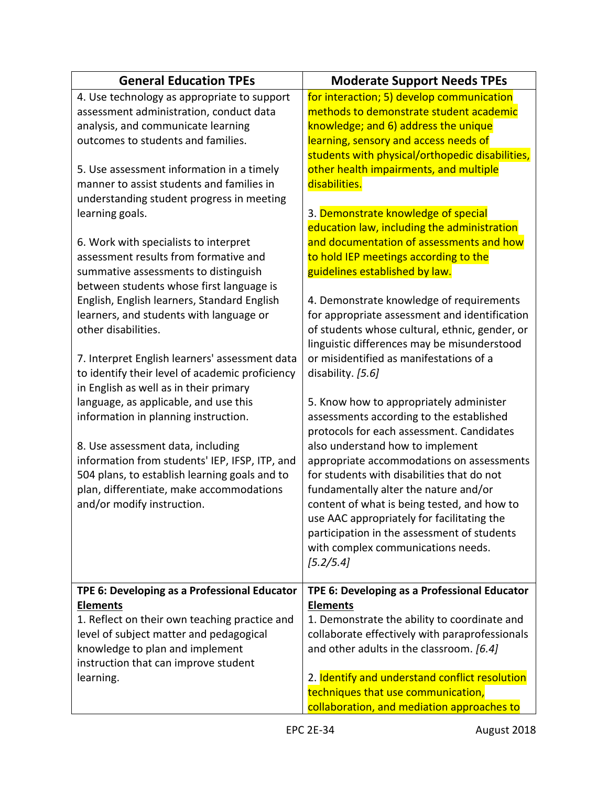| <b>General Education TPEs</b>                                                                                                                                                                                  | <b>Moderate Support Needs TPEs</b>                                                                                                                                                                                                                                |
|----------------------------------------------------------------------------------------------------------------------------------------------------------------------------------------------------------------|-------------------------------------------------------------------------------------------------------------------------------------------------------------------------------------------------------------------------------------------------------------------|
| 4. Use technology as appropriate to support<br>assessment administration, conduct data<br>analysis, and communicate learning<br>outcomes to students and families.                                             | for interaction; 5) develop communication<br>methods to demonstrate student academic<br>knowledge; and 6) address the unique<br>learning, sensory and access needs of<br>students with physical/orthopedic disabilities,                                          |
| 5. Use assessment information in a timely<br>manner to assist students and families in<br>understanding student progress in meeting<br>learning goals.                                                         | other health impairments, and multiple<br>disabilities.<br>3. Demonstrate knowledge of special<br>education law, including the administration                                                                                                                     |
| 6. Work with specialists to interpret<br>assessment results from formative and<br>summative assessments to distinguish<br>between students whose first language is                                             | and documentation of assessments and how<br>to hold IEP meetings according to the<br>guidelines established by law.                                                                                                                                               |
| English, English learners, Standard English<br>learners, and students with language or<br>other disabilities.                                                                                                  | 4. Demonstrate knowledge of requirements<br>for appropriate assessment and identification<br>of students whose cultural, ethnic, gender, or<br>linguistic differences may be misunderstood                                                                        |
| 7. Interpret English learners' assessment data<br>to identify their level of academic proficiency<br>in English as well as in their primary                                                                    | or misidentified as manifestations of a<br>disability. [5.6]                                                                                                                                                                                                      |
| language, as applicable, and use this<br>information in planning instruction.                                                                                                                                  | 5. Know how to appropriately administer<br>assessments according to the established<br>protocols for each assessment. Candidates                                                                                                                                  |
| 8. Use assessment data, including<br>information from students' IEP, IFSP, ITP, and<br>504 plans, to establish learning goals and to<br>plan, differentiate, make accommodations<br>and/or modify instruction. | also understand how to implement<br>appropriate accommodations on assessments<br>for students with disabilities that do not<br>fundamentally alter the nature and/or<br>content of what is being tested, and how to<br>use AAC appropriately for facilitating the |
|                                                                                                                                                                                                                | participation in the assessment of students<br>with complex communications needs.<br>[5.2/5.4]                                                                                                                                                                    |
| TPE 6: Developing as a Professional Educator<br><b>Elements</b><br>1. Reflect on their own teaching practice and<br>level of subject matter and pedagogical<br>knowledge to plan and implement                 | TPE 6: Developing as a Professional Educator<br><b>Elements</b><br>1. Demonstrate the ability to coordinate and<br>collaborate effectively with paraprofessionals<br>and other adults in the classroom. [6.4]                                                     |
| instruction that can improve student<br>learning.                                                                                                                                                              | 2. Identify and understand conflict resolution<br>techniques that use communication,<br>collaboration, and mediation approaches to                                                                                                                                |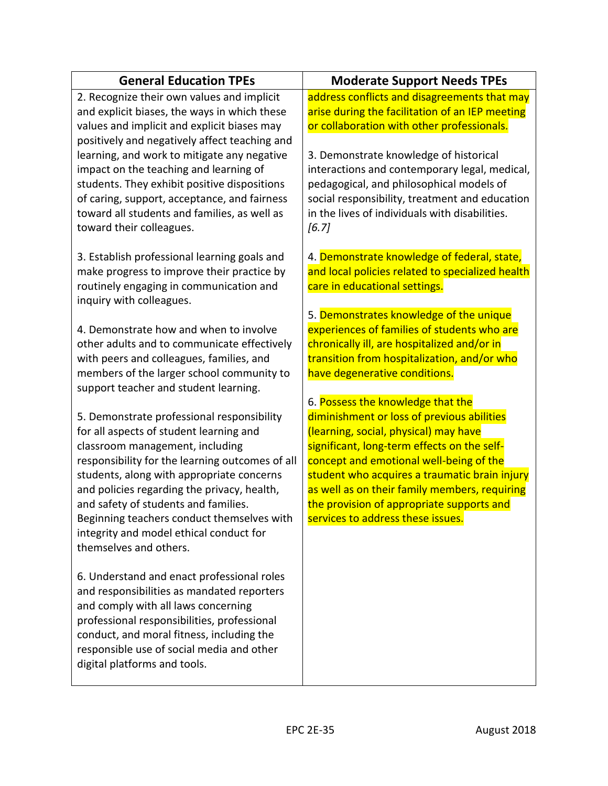| <b>General Education TPEs</b>                                                                                                                                                                                                                                                                                                                                                                                                      | <b>Moderate Support Needs TPEs</b>                                                                                                                                                                                                                                                                                                                                                                     |
|------------------------------------------------------------------------------------------------------------------------------------------------------------------------------------------------------------------------------------------------------------------------------------------------------------------------------------------------------------------------------------------------------------------------------------|--------------------------------------------------------------------------------------------------------------------------------------------------------------------------------------------------------------------------------------------------------------------------------------------------------------------------------------------------------------------------------------------------------|
| 2. Recognize their own values and implicit<br>and explicit biases, the ways in which these<br>values and implicit and explicit biases may<br>positively and negatively affect teaching and                                                                                                                                                                                                                                         | address conflicts and disagreements that may<br>arise during the facilitation of an IEP meeting<br>or collaboration with other professionals.                                                                                                                                                                                                                                                          |
| learning, and work to mitigate any negative<br>impact on the teaching and learning of<br>students. They exhibit positive dispositions<br>of caring, support, acceptance, and fairness<br>toward all students and families, as well as<br>toward their colleagues.                                                                                                                                                                  | 3. Demonstrate knowledge of historical<br>interactions and contemporary legal, medical,<br>pedagogical, and philosophical models of<br>social responsibility, treatment and education<br>in the lives of individuals with disabilities.<br>[6.7]                                                                                                                                                       |
| 3. Establish professional learning goals and<br>make progress to improve their practice by<br>routinely engaging in communication and<br>inquiry with colleagues.                                                                                                                                                                                                                                                                  | 4. Demonstrate knowledge of federal, state,<br>and local policies related to specialized health<br>care in educational settings.                                                                                                                                                                                                                                                                       |
| 4. Demonstrate how and when to involve<br>other adults and to communicate effectively<br>with peers and colleagues, families, and<br>members of the larger school community to<br>support teacher and student learning.                                                                                                                                                                                                            | 5. Demonstrates knowledge of the unique<br>experiences of families of students who are<br>chronically ill, are hospitalized and/or in<br>transition from hospitalization, and/or who<br>have degenerative conditions.                                                                                                                                                                                  |
| 5. Demonstrate professional responsibility<br>for all aspects of student learning and<br>classroom management, including<br>responsibility for the learning outcomes of all<br>students, along with appropriate concerns<br>and policies regarding the privacy, health,<br>and safety of students and families.<br>Beginning teachers conduct themselves with<br>integrity and model ethical conduct for<br>themselves and others. | 6. Possess the knowledge that the<br>diminishment or loss of previous abilities<br>(learning, social, physical) may have<br>significant, long-term effects on the self-<br>concept and emotional well-being of the<br>student who acquires a traumatic brain injury<br>as well as on their family members, requiring<br>the provision of appropriate supports and<br>services to address these issues. |
| 6. Understand and enact professional roles<br>and responsibilities as mandated reporters<br>and comply with all laws concerning<br>professional responsibilities, professional<br>conduct, and moral fitness, including the<br>responsible use of social media and other<br>digital platforms and tools.                                                                                                                           |                                                                                                                                                                                                                                                                                                                                                                                                        |